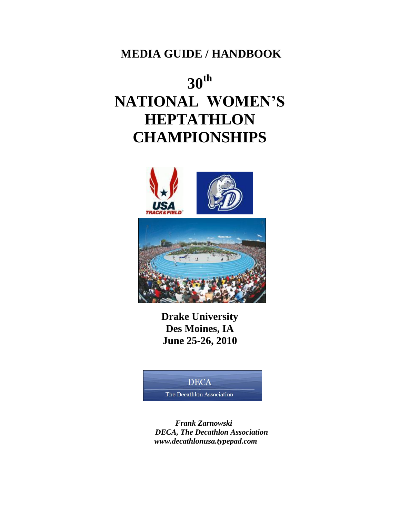**MEDIA GUIDE / HANDBOOK**

# **30th NATIONAL WOMEN'S HEPTATHLON CHAMPIONSHIPS**



**Drake University Des Moines, IA June 25-26, 2010**

## **DECA**

The Decathlon Association

 *Frank Zarnowski DECA, The Decathlon Association www.decathlonusa.typepad.com*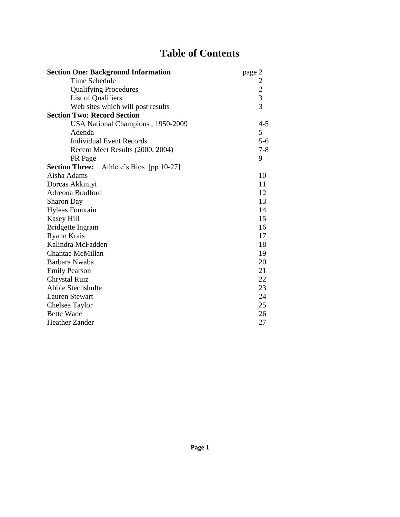## **Table of Contents**

| <b>Section One: Background Information</b>      | page 2         |
|-------------------------------------------------|----------------|
| Time Schedule                                   |                |
| <b>Qualifying Procedures</b>                    | $\frac{2}{3}$  |
| List of Qualifiers                              |                |
| Web sites which will post results               | $\overline{3}$ |
| <b>Section Two: Record Section</b>              |                |
| USA National Champions, 1950-2009               | $4 - 5$        |
| Adenda                                          | 5              |
| <b>Individual Event Records</b>                 | $5 - 6$        |
| Recent Meet Results (2000, 2004)                | $7 - 8$        |
| PR Page                                         | 9              |
| <b>Section Three:</b> Athlete's Bios [pp 10-27] |                |
| Aisha Adams                                     | 10             |
| Dorcas Akkiniyi                                 | 11             |
| Adreona Bradford                                | 12             |
| <b>Sharon Day</b>                               | 13             |
| <b>Hyleas Fountain</b>                          | 14             |
| Kasey Hill                                      | 15             |
| <b>Bridgette Ingram</b>                         | 16             |
| Ryann Krais                                     | 17             |
| Kalindra McFadden                               | 18             |
| Chantae McMillan                                | 19             |
| Barbara Nwaba                                   | 20             |
| <b>Emily Pearson</b>                            | 21             |
| Chrystal Ruiz                                   | 22             |
| Abbie Stechshulte                               | 23             |
| <b>Lauren Stewart</b>                           | 24             |
| Chelsea Taylor                                  | 25             |
| <b>Bette Wade</b>                               | 26             |
| <b>Heather Zander</b>                           | 27             |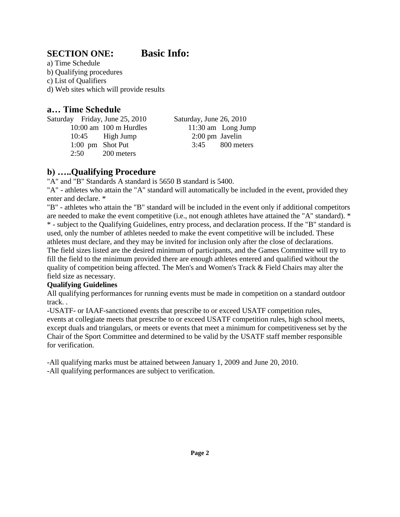#### **SECTION ONE: Basic Info:**

a) Time Schedule b) Qualifying procedures c) List of Qualifiers d) Web sites which will provide results

#### **a… Time Schedule**

Saturday Friday, June 25, 2010 Saturday, June 26, 2010 10:00 am 100 m Hurdles 11:30 am Long Jump 10:45 High Jump 2:00 pm Javelin 1:00 pm Shot Put 3:45 800 meters 2:50 200 meters

#### **b) …..Qualifying Procedure**

"A" and "B" Standards A standard is 5650 B standard is 5400.

"A" - athletes who attain the "A" standard will automatically be included in the event, provided they enter and declare. \*

"B" - athletes who attain the "B" standard will be included in the event only if additional competitors are needed to make the event competitive (i.e., not enough athletes have attained the "A" standard). \* \* - subject to the Qualifying Guidelines, entry process, and declaration process. If the "B" standard is used, only the number of athletes needed to make the event competitive will be included. These athletes must declare, and they may be invited for inclusion only after the close of declarations. The field sizes listed are the desired minimum of participants, and the Games Committee will try to fill the field to the minimum provided there are enough athletes entered and qualified without the quality of competition being affected. The Men's and Women's Track & Field Chairs may alter the field size as necessary.

#### **Qualifying Guidelines**

All qualifying performances for running events must be made in competition on a standard outdoor track. .

-USATF- or IAAF-sanctioned events that prescribe to or exceed USATF competition rules, events at collegiate meets that prescribe to or exceed USATF competition rules, high school meets, except duals and triangulars, or meets or events that meet a minimum for competitiveness set by the Chair of the Sport Committee and determined to be valid by the USATF staff member responsible for verification.

-All qualifying marks must be attained between January 1, 2009 and June 20, 2010. -All qualifying performances are subject to verification.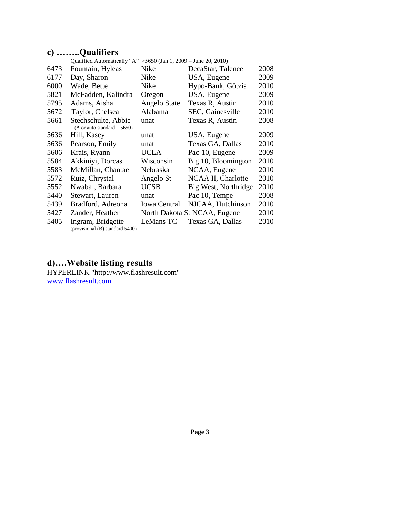## **c) ……..Qualifiers**

|      | Qualified Automatically "A" > 5650 (Jan 1, 2009 - June 20, 2010) |                     |                              |      |
|------|------------------------------------------------------------------|---------------------|------------------------------|------|
| 6473 | Fountain, Hyleas                                                 | Nike                | DecaStar, Talence            | 2008 |
| 6177 | Day, Sharon                                                      | Nike                | USA, Eugene                  | 2009 |
| 6000 | Wade, Bette                                                      | Nike                | Hypo-Bank, Götzis            | 2010 |
| 5821 | McFadden, Kalindra                                               | Oregon              | USA, Eugene                  | 2009 |
| 5795 | Adams, Aisha                                                     | Angelo State        | Texas R, Austin              | 2010 |
| 5672 | Taylor, Chelsea                                                  | Alabama             | <b>SEC, Gainesville</b>      | 2010 |
| 5661 | Stechschulte, Abbie                                              | unat                | Texas R, Austin              | 2008 |
|      | (A or auto standard = $5650$ )                                   |                     |                              |      |
| 5636 | Hill, Kasey                                                      | unat                | USA, Eugene                  | 2009 |
| 5636 | Pearson, Emily                                                   | unat                | Texas GA, Dallas             | 2010 |
| 5606 | Krais, Ryann                                                     | UCLA                | Pac-10, Eugene               | 2009 |
| 5584 | Akkiniyi, Dorcas                                                 | Wisconsin           | Big 10, Bloomington          | 2010 |
| 5583 | McMillan, Chantae                                                | Nebraska            | NCAA, Eugene                 | 2010 |
| 5572 | Ruiz, Chrystal                                                   | Angelo St           | NCAA II, Charlotte           | 2010 |
| 5552 | Nwaba, Barbara                                                   | <b>UCSB</b>         | Big West, Northridge         | 2010 |
| 5440 | Stewart, Lauren                                                  | unat                | Pac 10, Tempe                | 2008 |
| 5439 | Bradford, Adreona                                                | <b>Iowa Central</b> | NJCAA, Hutchinson            | 2010 |
| 5427 | Zander, Heather                                                  |                     | North Dakota St NCAA, Eugene | 2010 |
| 5405 | Ingram, Bridgette<br>(provisional (B) standard 5400)             | LeMans TC           | Texas GA, Dallas             | 2010 |
|      |                                                                  |                     |                              |      |

#### **d)….Website listing results**

HYPERLINK "http://www.flashresult.com" www.flashresult.com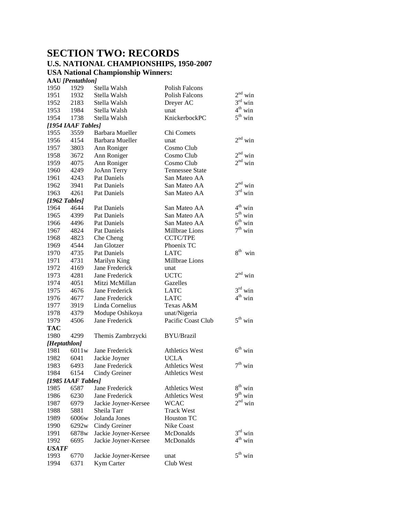## **SECTION TWO: RECORDS U.S. NATIONAL CHAMPIONSHIPS, 1950-2007**

**USA National Championship Winners:** 

**AAU** *[Pentathlon]*

| 1950         | 1929               | Stella Walsh         | <b>Polish Falcons</b>  |                        |
|--------------|--------------------|----------------------|------------------------|------------------------|
| 1951         | 1932               | Stella Walsh         | <b>Polish Falcons</b>  | $2nd$ win              |
| 1952         | 2183               | Stella Walsh         | Dreyer AC              | $3rd$ win              |
| 1953         | 1984               | Stella Walsh         | unat                   | $4^{\text{th}}$ win    |
| 1954         | 1738               | Stella Walsh         | KnickerbockPC          | $5^{\text{th}}$ win    |
|              | [1954 IAAF Tables] |                      |                        |                        |
| 1955         | 3559               | Barbara Mueller      | Chi Comets             |                        |
| 1956         | 4154               | Barbara Mueller      | unat                   | $2nd$ win              |
| 1957         | 3803               | Ann Roniger          | Cosmo Club             |                        |
| 1958         | 3672               | Ann Roniger          | Cosmo Club             | $2^{\rm nd}$ win       |
| 1959         | 4075               | Ann Roniger          | Cosmo Club             | 2 <sup>nd</sup><br>win |
| 1960         | 4249               | JoAnn Terry          | <b>Tennessee State</b> |                        |
| 1961         | 4243               | <b>Pat Daniels</b>   | San Mateo AA           |                        |
| 1962         | 3941               | Pat Daniels          | San Mateo AA           | $2^{nd}$ win           |
| 1963         | 4261               | Pat Daniels          | San Mateo AA           | $3rd$ win              |
|              | $[1962$ Tables]    |                      |                        |                        |
| 1964         | 4644               | Pat Daniels          | San Mateo AA           | $4th$ win              |
| 1965         | 4399               | <b>Pat Daniels</b>   | San Mateo AA           | $5th$ win              |
| 1966         | 4496               | Pat Daniels          | San Mateo AA           | $6th$ win              |
| 1967         | 4824               | Pat Daniels          | Millbrae Lions         | $7^{\rm th}$ win       |
| 1968         | 4823               | Che Cheng            | <b>CCTC/TPE</b>        |                        |
| 1969         | 4544               | Jan Glotzer          | Phoenix TC             |                        |
| 1970         | 4735               | <b>Pat Daniels</b>   | <b>LATC</b>            | $8^{th}$ win           |
| 1971         | 4731               | Marilyn King         | Millbrae Lions         |                        |
| 1972         | 4169               | Jane Frederick       | unat                   |                        |
| 1973         | 4281               | Jane Frederick       | <b>UCTC</b>            | $2nd$ win              |
| 1974         | 4051               | Mitzi McMillan       | Gazelles               |                        |
| 1975         | 4676               | Jane Frederick       | <b>LATC</b>            | $3rd$ win              |
| 1976         | 4677               | Jane Frederick       | <b>LATC</b>            | $4^{\text{th}}$ win    |
| 1977         | 3919               | Linda Cornelius      | Texas A&M              |                        |
| 1978         | 4379               | Modupe Oshikoya      | unat/Nigeria           |                        |
| 1979         | 4506               | Jane Frederick       | Pacific Coast Club     | $5^{th}$ win           |
| <b>TAC</b>   |                    |                      |                        |                        |
| 1980         | 4299               | Themis Zambrzycki    | <b>BYU/Brazil</b>      |                        |
| [Heptathlon] |                    |                      |                        |                        |
| 1981         | 6011w              | Jane Frederick       | <b>Athletics West</b>  | $6th$ win              |
| 1982         | 6041               | Jackie Joyner        | <b>UCLA</b>            |                        |
| 1983         | 6493               | Jane Frederick       | <b>Athletics West</b>  | $7^{\rm th}$ win       |
| 1984         | 6154               | Cindy Greiner        | <b>Athletics West</b>  |                        |
|              | [1985 IAAF Tables] |                      |                        |                        |
| 1985         | 6587               | Jane Frederick       | <b>Athletics West</b>  | $8th$ win              |
| 1986         | 6230               | Jane Frederick       | Athletics West         | $9^{th}$ win           |
| 1987         | 6979               | Jackie Joyner-Kersee | <b>WCAC</b>            | $2nd$ win              |
| 1988         | 5881               | Sheila Tarr          | <b>Track West</b>      |                        |
| 1989         | 6006w              | Jolanda Jones        | Houston TC             |                        |
| 1990         | 6292w              | Cindy Greiner        | Nike Coast             |                        |
| 1991         | 6878w              | Jackie Joyner-Kersee | McDonalds              | $3rd$ win              |
| 1992         | 6695               | Jackie Joyner-Kersee | McDonalds              | $4^{\text{th}}$ win    |
| <b>USATF</b> |                    |                      |                        |                        |
| 1993         | 6770               | Jackie Joyner-Kersee | unat                   | $5^{th}$ win           |
| 1994         | 6371               | Kym Carter           | Club West              |                        |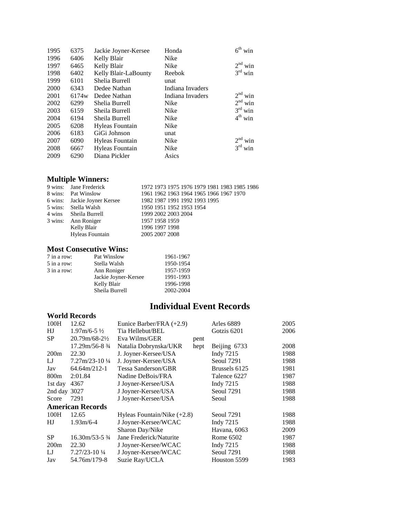| 1995 | 6375              | Jackie Joyner-Kersee | Honda            | $6^{\text{th}}$<br>win |
|------|-------------------|----------------------|------------------|------------------------|
| 1996 | 6406              | Kelly Blair          | Nike             |                        |
| 1997 | 6465              | Kelly Blair          | Nike             | $2nd$ win              |
| 1998 | 6402              | Kelly Blair-LaBounty | Reebok           | $3rd$ win              |
| 1999 | 6101              | Shelia Burrell       | unat             |                        |
| 2000 | 6343              | Dedee Nathan         | Indiana Invaders |                        |
| 2001 | 6174 <sub>w</sub> | Dedee Nathan         | Indiana Invaders | $2nd$ win              |
| 2002 | 6299              | Shelia Burrell       | Nike             | $2nd$ win              |
| 2003 | 6159              | Sheila Burrell       | Nike             | $3rd$ win              |
| 2004 | 6194              | Sheila Burrell       | Nike             | $4th$ win              |
| 2005 | 6208              | Hyleas Fountain      | Nike             |                        |
| 2006 | 6183              | GiGi Johnson         | unat             |                        |
| 2007 | 6090              | Hyleas Fountain      | Nike             | $2nd$ win              |
| 2008 | 6667              | Hyleas Fountain      | Nike             | 3 <sup>rd</sup><br>win |
| 2009 | 6290              | Diana Pickler        | Asics            |                        |

## **Multiple Winners:**

| 9 wins: Jane Frederick       | 1972 1973 1975 1976 1979 1981 1983 1985 1986 |
|------------------------------|----------------------------------------------|
| 8 wins: Pat Winslow          | 1961 1962 1963 1964 1965 1966 1967 1970      |
| 6 wins: Jackie Joyner Kersee | 1982 1987 1991 1992 1993 1995                |
| 5 wins: Stella Walsh         | 1950 1951 1952 1953 1954                     |
| 4 wins Sheila Burrell        | 1999 2002 2003 2004                          |
| 3 wins: Ann Roniger          | 1957 1958 1959                               |
| Kelly Blair                  | 1996 1997 1998                               |
| Hyleas Fountain              | 2005 2007 2008                               |

#### **Most Consecutive Wins:**

| 7 in a row:   | Pat Winslow          | 1961-1967 |
|---------------|----------------------|-----------|
| 5 in a row:   | Stella Walsh         | 1950-1954 |
| $3$ in a row: | Ann Roniger          | 1957-1959 |
|               | Jackie Joyner-Kersee | 1991-1993 |
|               | Kelly Blair          | 1996-1998 |
|               | Sheila Burrell       | 2002-2004 |

## **Individual Event Records**

#### **World Records**

| 100H             | 12.62                              | Eunice Barber/FRA (+2.9)      |      | Arles 6889    | 2005 |
|------------------|------------------------------------|-------------------------------|------|---------------|------|
| HJ               | $1.97 \text{m}/6 - 5 \frac{1}{2}$  | Tia Hellebut/BEL              |      | Gotzis 6201   | 2006 |
| SP               | $20.79m/68-22$                     | Eva Wilms/GER                 | pent |               |      |
|                  | 17.29m/56-8 3/4                    | Natalia Dobrynska/UKR         | hept | Beijing 6733  | 2008 |
| 200m             | 22.30                              | J. Joyner-Kersee/USA          |      | Indy 7215     | 1988 |
| LJ               | $7.27 \text{m}/23 - 10\frac{1}{4}$ | J. Joyner-Kersee/USA          |      | Seoul 7291    | 1988 |
| Jav              | $64.64 \text{ m}/212 - 1$          | Tessa Sanderson/GBR           |      | Brussels 6125 | 1981 |
| 800 <sub>m</sub> | 2:01.84                            | Nadine DeBois/FRA             |      | Talence 6227  | 1987 |
| 1st day          | 4367                               | J Joyner-Kersee/USA           |      | Indy 7215     | 1988 |
| 2nd day 3027     |                                    | J Joyner-Kersee/USA           |      | Seoul 7291    | 1988 |
| Score            | 7291                               | J Joyner-Kersee/USA           |      | Seoul         | 1988 |
|                  | <b>American Records</b>            |                               |      |               |      |
| 100H             | 12.65                              | Hyleas Fountain/Nike $(+2.8)$ |      | Seoul 7291    | 1988 |
| HJ               | $1.93m/6-4$                        | J Joyner-Kersee/WCAC          |      | Indy 7215     | 1988 |
|                  |                                    | Sharon Day/Nike               |      | Havana, 6063  | 2009 |
| <b>SP</b>        | $16.30 \text{m}/53 - 5\frac{3}{4}$ | Jane Frederick/Naturite       |      | Rome 6502     | 1987 |
| 200m             | 22.30                              | J Joyner-Kersee/WCAC          |      | Indy 7215     | 1988 |
| LJ               | $7.27/23 - 10\frac{1}{4}$          | J Joyner-Kersee/WCAC          |      | Seoul 7291    | 1988 |
| Jav              | 54.76m/179-8                       | Suzie Ray/UCLA                |      | Houston 5599  | 1983 |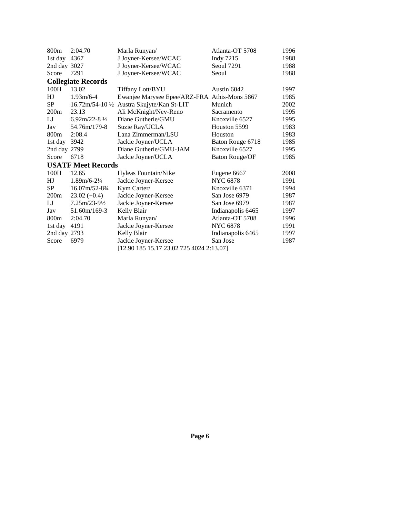| 800m             | 2:04.70                                    | Marla Runyan/                                | Atlanta-OT 5708       | 1996 |
|------------------|--------------------------------------------|----------------------------------------------|-----------------------|------|
| 1st day 4367     |                                            | J Joyner-Kersee/WCAC                         | Indy 7215             | 1988 |
| 2nd day 3027     |                                            | J Joyner-Kersee/WCAC                         | Seoul 7291            | 1988 |
| Score            | 7291                                       | J Joyner-Kersee/WCAC                         | Seoul                 | 1988 |
|                  | <b>Collegiate Records</b>                  |                                              |                       |      |
| 100H             | 13.02                                      | Tiffany Lott/BYU                             | Austin 6042           | 1997 |
| HJ               | $1.93m/6-4$                                | Ewanjee Marysee Epee/ARZ-FRA Athis-Mons 5867 |                       | 1985 |
| <b>SP</b>        |                                            | 16.72m/54-10 1/2 Austra Skujyte/Kan St-LIT   | Munich                | 2002 |
| 200m             | 23.13                                      | Ali McKnight/Nev-Reno                        | Sacramento            | 1995 |
| IJ               | 6.92m/22-8 $\frac{1}{2}$                   | Diane Gutherie/GMU                           | Knoxville 6527        | 1995 |
| Jav              | 54.76m/179-8                               | Suzie Ray/UCLA                               | Houston 5599          | 1983 |
| 800 <sub>m</sub> | 2:08.4                                     | Lana Zimmerman/LSU                           | Houston               | 1983 |
| 1st day          | 3942                                       | Jackie Joyner/UCLA                           | Baton Rouge 6718      | 1985 |
| 2nd day 2799     |                                            | Diane Gutherie/GMU-JAM                       | Knoxville 6527        | 1995 |
| Score            | 6718                                       | Jackie Joyner/UCLA                           | <b>Baton Rouge/OF</b> | 1985 |
|                  | <b>USATF Meet Records</b>                  |                                              |                       |      |
| 100H             | 12.65                                      | Hyleas Fountain/Nike                         | Eugene 6667           | 2008 |
| HJ               | $1.89m/6 - 2\frac{1}{4}$                   | Jackie Joyner-Kersee                         | <b>NYC 6878</b>       | 1991 |
| <b>SP</b>        | $16.07 \frac{\text{m}}{52 - 8\frac{3}{4}}$ | Kym Carter/                                  | Knoxville 6371        | 1994 |
| 200m             | $23.02 (+0.4)$                             | Jackie Joyner-Kersee                         | San Jose 6979         | 1987 |
| $_{\rm LJ}$      | $7.25m/23-92$                              | Jackie Joyner-Kersee                         | San Jose 6979         | 1987 |
| Jav              | 51.60m/169-3                               | Kelly Blair                                  | Indianapolis 6465     | 1997 |
| 800 <sub>m</sub> | 2:04.70                                    | Marla Runyan/                                | Atlanta-OT 5708       | 1996 |
| 1st day          | 4191                                       | Jackie Joyner-Kersee                         | <b>NYC 6878</b>       | 1991 |
| 2nd day 2793     |                                            | Kelly Blair                                  | Indianapolis 6465     | 1997 |
| Score            | 6979                                       | Jackie Joyner-Kersee                         | San Jose              | 1987 |
|                  |                                            | [12.90 185 15.17 23.02 725 4024 2:13.07]     |                       |      |
|                  |                                            |                                              |                       |      |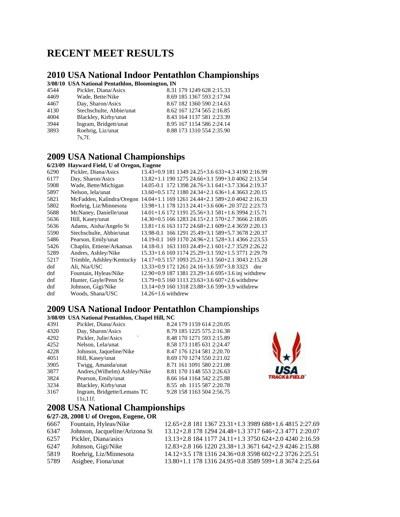## **RECENT MEET RESULTS**

## **2010 USA National Indoor Pentathlon Championships**

**3/08/10 USA National Pentathlon, Bloomington, IN**

| 4544 | Pickler, Diana/Asics     | 8.31 179 1249 628 2:15.33 |
|------|--------------------------|---------------------------|
| 4469 | Wade, Bette/Nike         | 8.69 185 1367 593 2:17.94 |
| 4467 | Day, Sharon/Asics        | 8.67 182 1360 590 2:14.63 |
| 4130 | Stechschulte, Abbie/unat | 8.62 167 1274 565 2:16.85 |
| 4004 | Blackley, Kirby/unat     | 8.43 164 1137 581 2:23.39 |
| 3944 | Ingram, Bridgett/unat    | 8.95 167 1154 586 2:24.14 |
| 3893 | Roehrig, Liz/unat        | 8.88 173 1310 554 2:35.90 |
|      | 7s.7f.                   |                           |

#### **2009 USA National Championships 6/23/09 Hayward Field, U of Oregon, Eugene**

| <i><b>VILSIVY</b></i> | <b>ELECTE DE LA CONTRACTE DE LA CONTRACTE DE LA CONTRACTE DE LA CONTRACTE DE LA CONTRACTE DE LA CONTRACTE DE LA C</b> |                                                   |
|-----------------------|-----------------------------------------------------------------------------------------------------------------------|---------------------------------------------------|
| 6290                  | Pickler, Diana/Asics                                                                                                  | 13.43+0.9 181 1349 24.25+3.6 633+4.3 4190 2:16.99 |
| 6177                  | Day, Sharon/Asics                                                                                                     | 13.82+1.1 190 1275 24.66+3.1 599+3.0 4062 2:13.54 |
| 5908                  | Wade, Bette/Michigan                                                                                                  | 14.05-0.1 172 1398 24.76+3.1 641+3.7 3364 2:19.37 |
| 5897                  | Nelson, lela/unat                                                                                                     | 13.60+0.5 172 1180 24.34+2.1 636+1.4 3663 2:20.15 |
| 5821                  | McFadden, Kalindra/Oregon                                                                                             | 14.04+1.1 169 1261 24.44+2.1 589+2.0 4042 2:16.33 |
| 5802                  | Roehrig, Liz/Minnesota                                                                                                | 13.98+1.1 178 1213 24.41+3.6 606+.20 3722 2:23.73 |
| 5688                  | McNaney, Danielle/unat                                                                                                | 14.01+1.6 172 1191 25.56+3.1 581+1.6 3994 2:15.71 |
| 5636                  | Hill, Kasey/unat                                                                                                      | 14.30+0.5 166 1283 24.15+2.1 570+2.7 3666 2:18.05 |
| 5636                  | Adams, Aisha/Angelo St                                                                                                | 13.81+1.6 163 1172 24.68+2.1 609+2.4 3659 2:20.13 |
| 5590                  | Stechschulte, Abbie/unat                                                                                              | 13.98-0.1 166 1291 25.49+3.1 589+5.7 3678 2:20.37 |
| 5486                  | Pearson, Emily/unat                                                                                                   | 14.19-0.1 169 1170 24.96+2.1 528+3.1 4366 2:23.53 |
| 5426                  | Chaplin, Ettiene/Arkansas                                                                                             | 14.18-0.1 163 1103 24.49+2.1 601+2.7 3529 2:26.22 |
| 5289                  | Andres, Ashley/Nike                                                                                                   | 15.33+1.6 169 1174 25.29+3.1 592+1.5 3771 2:29.79 |
| 5217                  | Trimble, Adshley/Kentucky                                                                                             | 14.17+0.5 157 1093 25.21+3.1 560+2.1 3043 2:15.28 |
| dnf                   | Ali, Nia/USC                                                                                                          | 13.33+0.9 172 1261 24.16+3.6 597+3.8 3323<br>dnr  |
| dnf                   | Fountain, Hyleas/Nike                                                                                                 | 12.90+0.9 187 1381 23.29+3.6 695+3.6 inj withdrew |
| dnf                   | Hunter, Gayle/Penn St                                                                                                 | 13.79+0.5 160 1113 23.63+3.6 607+2.6 withdrew     |
| dnf                   | Johnson, Gigi/Nike                                                                                                    | 13.14+0.9 160 1318 23.88+3.6 599+3.9 withdrew     |
| dnf                   | Woods, Shana/USC                                                                                                      | $14.26 + 1.6$ withdrew                            |
|                       |                                                                                                                       |                                                   |

#### **2009 USA National Indoor Pentathlon Championships**

**3/08/09 USA National Pentathlon, Chapel Hill, NC**

| 4391 | Pickler, Diana/Asics          | 8.24 179 1159 614 2:20.05 |  |
|------|-------------------------------|---------------------------|--|
|      |                               |                           |  |
| 4320 | Day, Sharon/Asics             | 8.79 185 1225 575 2:16.38 |  |
| 4292 | Pickler, Julie/Asics          | 8.48 170 1271 593 2:15.89 |  |
| 4252 | Nelson, Lela/unat             | 8.58 173 1185 631 2:24.47 |  |
| 4228 | Johnson, Jaqueline/Nike       | 8.47 176 1214 581 2:20.70 |  |
| 4051 | Hill, Kasey/unat              | 8.69 170 1274 550 2:21.02 |  |
| 3905 | Twigg, Amanda/unat            | 8.71 161 1091 580 2:21.08 |  |
| 3877 | Andres, (Wilhelm) Ashley/Nike | 8.81 170 1148 553 2:26.63 |  |
| 3824 | Pearson, Emily/unat           | 8.66 164 1164 542 2:25.88 |  |
| 3234 | Blackley, Kirby/unat          | 8.55 nh 1115 587 2:20.78  |  |
| 3167 | Ingram, Bridgette/Lemans TC   | 9.28 158 1163 504 2:56.75 |  |
|      | 11s.11f.                      |                           |  |

## **2008 USA National Championships**

| 6/27-28, 2008 U of Oregon, Eugene, OR |  |
|---------------------------------------|--|
|---------------------------------------|--|

| 6667 | Fountain, Hyleas/Nike          | 12.65+2.8 181 1367 23.31+1.3 3989 688+1.6 4815 2:27.69 |
|------|--------------------------------|--------------------------------------------------------|
| 6347 | Johnson, Jacqueline/Arizona St | 13.12+2.8 178 1294 24.48+1.3 3717 646+2.3 4771 2:20.07 |
| 6257 | Pickler, Diana/asics           | 13.13+2.8 184 1177 24.11+1.3 3750 624+2.0 4240 2:16.59 |
| 6247 | Johnson, Gigi/Nike             | 12.83+2.8 166 1220 23.38+1.3 3671 642+2.9 4246 2:15.88 |
| 5819 | Roehrig, Liz/Minnesota         | 14.12+3.5 178 1316 24.36+0.8 3598 602+2.2 3726 2:25.51 |
| 5789 | Asigbee, Fiona/unat            | 13.80+1.1 178 1316 24.95+0.8 3589 599+1.8 3674 2:25.64 |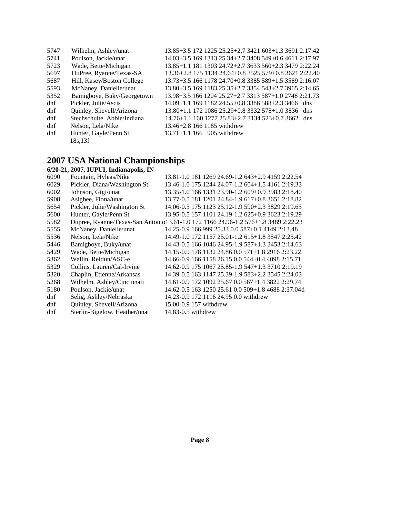| 5747 | Wilhelm, Ashley/unat        | 13.85+3.5 172 1225 25.25+2.7 3421 603+1.3 3691 2:17.42 |
|------|-----------------------------|--------------------------------------------------------|
| 5741 | Poulson, Jackie/unat        | 14.03+3.5 169 1313 25.34+2.7 3408 549+0.6 4611 2:17.97 |
| 5723 | Wade, Bette/Michigan        | 13.85+1.1 181 1303 24.72+2.7 3633 560+2.3 3479 2:22.24 |
| 5697 | DuPree, Ryanne/Texas-SA     | 13.36+2.8 175 1134 24.64+0.8 3525 579+0.8 3621 2:22.40 |
| 5687 | Hill, Kasey/Boston College  | 13.73+3.5 166 1178 24.70+0.8 3385 589+1.5 3589 2:16.07 |
| 5593 | McNaney, Danielle/unat      | 13.80+3.5 169 1183 25.35+2.7 3354 543+2.7 3965 2:14.65 |
| 5352 | Bamigboye, Buky/Georgetown  | 13.98+3.5 166 1204 25.27+2.7 3313 587+1.0 2748 2:21.73 |
| dnf  | Pickler, Julie/Ascis        | 14.09+1.1 169 1182 24.55+0.8 3386 588+2.3 3466 dns     |
| dnf  | Quinley, Shevell/Arizona    | $13.80 + 1.1$ 172 1086 25.29+0.8 3332 578+1.0 3836 dns |
| dnf  | Stechschulte. Abbie/Indiana | $14.76 + 1.1$ 160 1277 25.83+2.7 3134 523+0.7 3662 dns |
| dnf  | Nelson, Lela/Nike           | $13.46 + 2.81661185$ withdrew                          |
| dnf  | Hunter, Gayle/Penn St       | $13.71 + 1.1$ 166 905 withdrew                         |
|      | 18s, 13f                    |                                                        |

#### **2007 USA National Championships**

|      | 6/20-21, 2007, IUPUI, Indianapolis, IN |                                                                                   |
|------|----------------------------------------|-----------------------------------------------------------------------------------|
| 6090 | Fountain, Hyleas/Nike                  | 13.81-1.0 181 1269 24.69-1.2 643+2.9 4159 2:22.54                                 |
| 6029 | Pickler, Diana/Washington St           | 13.46-1.0 175 1244 24.07-1.2 604+1.5 4161 2:19.33                                 |
| 6002 | Johnson, Gigi/unat                     | 13.35-1.0 166 1331 23.90-1.2 609+0.9 3983 2:18.40                                 |
| 5908 | Asigbee, Fiona/unat                    | 13.77-0.5 181 1201 24.84-1.9 617+0.8 3651 2:18.82                                 |
| 5654 | Pickler, Julie/Washington St           | 14.06-0.5 175 1123 25.12-1.9 590+2.3 3829 2:19.65                                 |
| 5600 | Hunter, Gayle/Penn St                  | 13.95-0.5 157 1101 24.19-1.2 625+0.9 3623 2:19.29                                 |
| 5582 |                                        | Dupree, Ryanne/Texas-San Antonio13.61-1.0 172 1166 24.96-1.2 576+1.8 3489 2:22.23 |
| 5555 | McNaney, Danielle/unat                 | 14.25-0.9 166 999 25.33 0.0 587+0.1 4149 2:13.48                                  |
| 5536 | Nelson, Lela/Nike                      | 14.49-1.0 172 1157 25.01-1.2 615+1.8 3547 2:25.42                                 |
| 5446 | Bamigboye, Buky/unat                   | 14.43-0.5 166 1046 24.95-1.9 587+1.3 3453 2:14.63                                 |
| 5429 | Wade, Bette/Michigan                   | 14.15-0.9 178 1132 24.86 0.0 571+1.8 2916 2:23.22                                 |
| 5362 | Wallin, Reidun/ASC-e                   | 14.66-0.9 166 1158 26.15 0.0 544+0.4 4098 2:15.71                                 |
| 5329 | Collins, Lauren/Cal-Irvine             | 14.62-0.9 175 1067 25.85-1.9 547+1.3 3710 2:19.19                                 |
| 5320 | Chaplin, Etienne/Arkansas              | 14.39-0.5 163 1147 25.39-1.9 583+2.2 3545 2:24.03                                 |
| 5268 | Wilhelm, Ashley/Cincinnati             | 14.61-0.9 172 1092 25.67 0.0 567+1.4 3822 2:29.74                                 |
| 5180 | Poulson, Jackie/unat                   | 14.62-0.5 163 1250 25.61 0.0 509+1.8 4688 2:37.04d                                |
| dnf  | Selig, Ashley/Nebraska                 | 14.23-0.9 172 1116 24.95 0.0 withdrew                                             |
| dnf  | Quinley, Shevell/Arizona               | 15.00-0.9 157 withdrew                                                            |
| dnf  | Sterlin-Bigelow, Heather/unat          | 14.83-0.5 withdrew                                                                |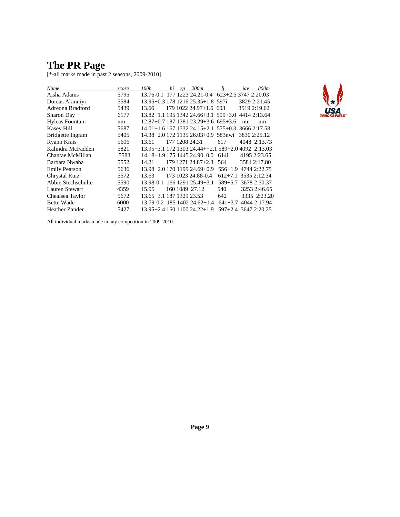### **The PR Page**

[\*-all marks made in past 2 seasons, 2009-2010]

| Name                  | score | 100h                     | hi | sp | 200m                                               | li                   | iav | 800m         |
|-----------------------|-------|--------------------------|----|----|----------------------------------------------------|----------------------|-----|--------------|
| Aisha Adams           | 5795  |                          |    |    | 13.76-0.1 177 1223 24.21-0.4 623+2.5 3747 2:20.03  |                      |     |              |
| Dorcas Akinniyi       | 5584  |                          |    |    | 13.95+0.3 178 1216 25.35+1.8 597i                  |                      |     | 3829 2:21.45 |
| Adreona Bradford      | 5439  | 13.66                    |    |    | 179 1022 24.97+1.6 603                             |                      |     | 3519 2:19.62 |
| Sharon Day            | 6177  |                          |    |    | 13.82+1.1 195 1342 24.66+3.1 599+3.0               |                      |     | 4414 2:13.64 |
| Hyleas Fountain       | nm    |                          |    |    | 12.87+0.7 187 1381 23.29+3.6 695+3.6               |                      | nm  | nm           |
| Kasey Hill            | 5687  |                          |    |    | $14.01+1.6$ 167 1332 24.15+2.1 575+0.3             |                      |     | 3666 2:17.58 |
| Bridgette Ingram      | 5405  |                          |    |    | 14.38+2.0 172 1135 26.03+0.9 583nwi                |                      |     | 3830 2:25.12 |
| Ryann Krais           | 5606  | 13.61                    |    |    | 177 1208 24.31                                     | 617                  |     | 4048 2:13.73 |
| Kalindra McFadden     | 5821  |                          |    |    | 13.95+3.1 172 1303 24.44++2.1 589+2.0 4092 2:13.03 |                      |     |              |
| Chantae McMillan      | 5583  |                          |    |    | 14.18+1.9 175 1445 24.90 0.0                       | 614i                 |     | 4195 2:23.65 |
| Barbara Nwaba         | 5552  | 14.21                    |    |    | 179 1271 24.87+2.3                                 | 564                  |     | 3584 2:17.80 |
| <b>Emily Pearson</b>  | 5636  |                          |    |    | 13.98+2.0 170 1199 24.69+0.9                       | $556+1.9$            |     | 4744 2:22.75 |
| Chrystal Ruiz         | 5572  | 13.63                    |    |    | 173 1023 24.88-0.4                                 | $612 + 7.1$          |     | 3535 2:12.34 |
| Abbie Stechschulte    | 5590  | 13.98-0.1                |    |    | 166 1291 25.49+3.1                                 | $589 + 5.7$          |     | 3678 2:30.37 |
| Lauren Stewart        | 4359  | 15.95                    |    |    | 160 1089 27.12                                     | 540                  |     | 3253 2:46.65 |
| Chealsea Taylor       | 5672  | 13.65+3.1 187 1329 23.53 |    |    |                                                    | 642                  |     | 3335 2:23.20 |
| <b>Bette Wade</b>     | 6000  |                          |    |    | 13.79-0.2 185 1402 24.62+1.4                       | $641 + 3.7$          |     | 4044 2:17.94 |
| <b>Heather Zander</b> | 5427  |                          |    |    | 13.95+2.4 160 1100 24.22+1.9                       | 597+2.4 3647 2:20.25 |     |              |
|                       |       |                          |    |    |                                                    |                      |     |              |



All individual marks made in any competition in 2009-2010.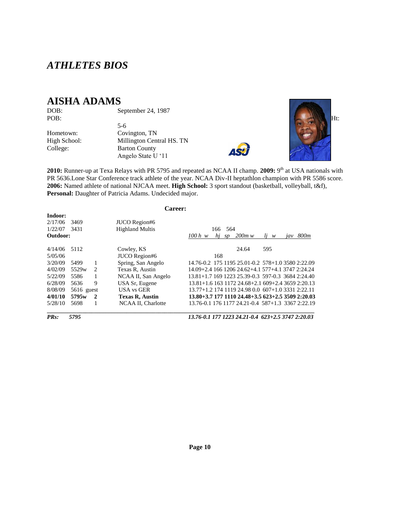## *ATHLETES BIOS*

## **AISHA ADAMS**

DOB: September 24, 1987<br>POB:

5-6

Hometown: Covington, TN<br>High School: Millington Cen Millington Central HS. TN College: Barton County Angelo State U ‗11





2010: Runner-up at Texa Relays with PR 5795 and repeated as NCAA II champ. 2009: 9<sup>th</sup> at USA nationals with PR 5636.Lone Star Conference track athlete of the year. NCAA Div-II heptathlon champion with PR 5586 score. **2006:** Named athlete of national NJCAA meet. **High School:** 3 sport standout (basketball, volleyball, t&f), Personal: Daughter of Patricia Adams. Undecided major.

| Career:                       |                   |                |                                         |                                                              |  |  |
|-------------------------------|-------------------|----------------|-----------------------------------------|--------------------------------------------------------------|--|--|
| Indoor:<br>2/17/06<br>1/22/07 | 3469<br>3431      |                | JUCO Region#6<br><b>Highland Multis</b> | 564<br>166.                                                  |  |  |
| Outdoor:                      |                   |                |                                         | $200m$ w<br>800m<br>hi<br>$100h$ w<br>$li \t w$<br>iav<br>SD |  |  |
| 4/14/06                       | 5112              |                | Cowley, KS                              | 24.64<br>595                                                 |  |  |
| 5/05/06                       |                   |                | JUCO Region#6                           | 168                                                          |  |  |
| 3/20/09                       | 5499              | 1              | Spring, San Angelo                      | 14.76-0.2 175 1195 25.01-0.2 578+1.0 3580 2:22.09            |  |  |
| 4/02/09                       | 5529 <sub>w</sub> | $\mathcal{L}$  | Texas R, Austin                         | 14.09+2.4 166 1206 24.62+4.1 577+4.1 3747 2:24.24            |  |  |
| 5/22/09                       | 5586              | 1              | NCAA II, San Angelo                     | 13.81+1.7 169 1223 25.39-0.3 597-0.3 3684 2:24.40            |  |  |
| 6/28/09                       | 5636              | 9              | USA Sr, Eugene                          | 13.81+1.6 163 1172 24.68+2.1 609+2.4 3659 2:20.13            |  |  |
| 8/08/09                       | $5616$ guest      |                | USA vs GER                              | 13.77+1.2 174 1119 24.98 0.0 607+1.0 3331 2:22.11            |  |  |
| 4/01/10                       | 5795w             | $\overline{2}$ | <b>Texas R, Austin</b>                  | 13.80+3.7 177 1110 24.48+3.5 623+2.5 3509 2:20.03            |  |  |
| 5/28/10                       | 5698              | 1              | NCAA II, Charlotte                      | 13.76-0.1 176 1177 24.21-0.4 587+1.3 3367 2:22.19            |  |  |

*PRs: 5795 13.76-0.1 177 1223 24.21-0.4 623+2.5 3747 2:20.03*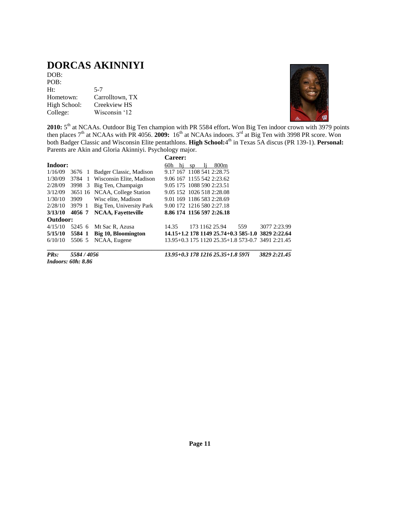## **DORCAS AKINNIYI**

| DOB:         |                 |
|--------------|-----------------|
| POB:         |                 |
| Ht:          | $5 - 7$         |
| Hometown:    | Carrolltown, TX |
| High School: | Creekview HS    |
| College:     | Wisconsin '12   |



2010: 5<sup>th</sup> at NCAAs. Outdoor Big Ten champion with PR 5584 effort. Won Big Ten indoor crown with 3979 points then places 7<sup>th</sup> at NCAAs with PR 4056. **2009:** 16<sup>th</sup> at NCAAs indoors. 3<sup>rd</sup> at Big Ten with 3998 PR score. Won both Badger Classic and Wisconsin Elite pentathlons. High School:4<sup>th</sup> in Texas 5A discus (PR 139-1). Personal: Parents are Akin and Gloria Akinniyi. Psychology major.

|          |        |    |                               | <b>Career:</b>            |    |                                                   |     |              |
|----------|--------|----|-------------------------------|---------------------------|----|---------------------------------------------------|-----|--------------|
| Indoor:  |        |    |                               | 60h<br>hj                 | sp | 800 <sub>m</sub>                                  |     |              |
| 1/16/09  | 3676 1 |    | Badger Classic, Madison       | 9.17 167 1108 541 2:28.75 |    |                                                   |     |              |
| 1/30/09  | 3784   | -1 | Wisconsin Elite, Madison      | 9.06 167 1155 542 2:23.62 |    |                                                   |     |              |
| 2/28/09  | 3998 3 |    | Big Ten, Champaign            | 9.05 175 1088 590 2:23.51 |    |                                                   |     |              |
| 3/12/09  |        |    | 3651 16 NCAA, College Station | 9.05 152 1026 518 2:28.08 |    |                                                   |     |              |
| 1/30/10  | 3909   |    | Wisc elite, Madison           | 9.01 169 1186 583 2:28.69 |    |                                                   |     |              |
| 2/28/10  | 3979 1 |    | Big Ten, University Park      | 9.00 172 1216 580 2:27.18 |    |                                                   |     |              |
| 3/13/10  | 4056 7 |    | <b>NCAA, Favetteville</b>     | 8.86 174 1156 597 2:26.18 |    |                                                   |     |              |
| Outdoor: |        |    |                               |                           |    |                                                   |     |              |
| 4/15/10  | 5245 6 |    | Mt Sac R, Azusa               | 14.35                     |    | 173 1162 25.94                                    | 559 | 3077 2:23.99 |
| 5/15/10  | 5584 1 |    | Big 10, Bloomington           |                           |    | 14.15+1.2 178 1149 25.74+0.3 585-1.0 3829 2:22.64 |     |              |
| 6/10/10  | 5506 5 |    | NCAA, Eugene                  |                           |    | 13.95+0.3 175 1120 25.35+1.8 573-0.7 3491 2:21.45 |     |              |

*Indoors: 60h: 8.86*

*PRs: 5584 / 4056 13.95+0.3 178 1216 25.35+1.8 597i 3829 2:21.45*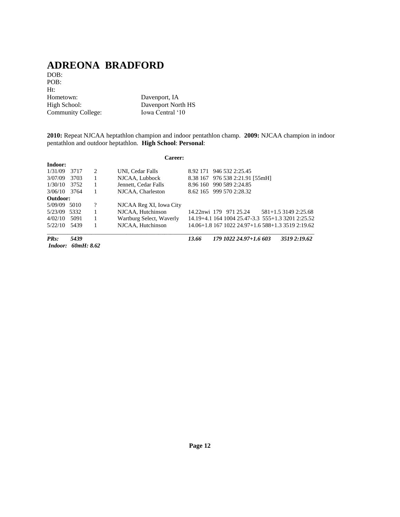## **ADREONA BRADFORD**

DOB: POB: Ht:<br>Hometown: Hometown: Davenport, IA<br>High School: Davenport Nor Community College:

Davenport North HS<br>Iowa Central '10

**2010:** Repeat NJCAA heptathlon champion and indoor pentathlon champ. **2009:** NJCAA champion in indoor pentathlon and outdoor heptathlon. **High School**: **Personal**:

|          |            |                             | Career:                  |          |                                                   |                      |
|----------|------------|-----------------------------|--------------------------|----------|---------------------------------------------------|----------------------|
| Indoor:  |            |                             |                          |          |                                                   |                      |
| 1/31/09  | 3717       | $\mathcal{D}_{\mathcal{L}}$ | UNI. Cedar Falls         | 8.92 171 | 946 532 2:25.45                                   |                      |
| 3/07/09  | 3703       | 1                           | NJCAA, Lubbock           |          | 8.38 167 976 538 2:21.91 [55mH]                   |                      |
| 1/30/10  | 3752       | 1                           | Jennett, Cedar Falls     |          | 8.96 160 990 589 2:24.85                          |                      |
| 3/06/10  | 3764       | 1                           | NJCAA, Charleston        |          | 8.62 165 999 570 2:28.32                          |                      |
| Outdoor: |            |                             |                          |          |                                                   |                      |
| 5/09/09  | 5010       | $\gamma$                    | NJCAA Reg XI, Iowa City  |          |                                                   |                      |
| 5/23/09  | 5332       | 1                           | NJCAA, Hutchinson        |          | 14.22nwi 179 971 25.24                            | 581+1.5 3149 2:25.68 |
| 4/02/10  | 5091       | 1                           | Wartburg Select, Waverly |          | 14.19+4.1 164 1004 25.47-3.3 555+1.3 3201 2:25.52 |                      |
| 5/22/10  | 5439       | 1                           | NJCAA, Hutchinson        |          | 14.06+1.8 167 1022 24.97+1.6 588+1.3 3519 2:19.62 |                      |
| $PRs$ :  | 5439       |                             |                          | 13.66    | 179 1022 24.97+1.6 603                            | 3519 2:19.62         |
| Indoor:  | 60mH: 8.62 |                             |                          |          |                                                   |                      |

**Page 12**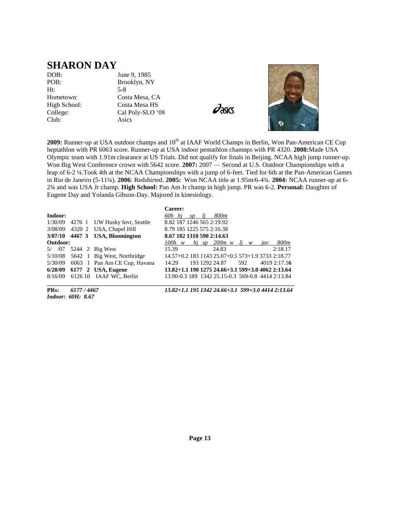#### **SHARON DAY**

Ht: 5-8 Club: Asics

DOB: June 9, 1985 POB: Brooklyn, NY Hometown: Costa Mesa, CA High School: Costa Mesa HS College: Cal Poly-SLO '08

 $\partial$ asics



2009: Runner-up at USA outdoor champs and 10<sup>th</sup> at IAAF World Champs in Berlin, Won Pan-American CE Cup heptathlon with PR 6063 score. Runner-up at USA indoor pentathlon chamnps with PR 4320. **2008:**Made USA Olympic team with 1.91m clearance at US Trials. Did not qualify for finals in Beijing. NCAA high jump runner-up. Won Big West Conference crown with 5642 score. **2007:** 2007 — Second at U.S. Outdoor Championships with a leap of 6-2 ¼.Took 4th at the NCAA Championships with a jump of 6-feet. Tied for 6th at the Pan-American Games in Rio de Janeiro (5-11¼). **2006**: Redshirted. **2005:** Won NCAA title at 1.95m/6-4¾. **2004:** NCAA runner-up at 6- 2¾ and was USA Jr champ. **High School:** Pan Am Jr champ in high jump. PR was 6-2. **Personal:** Daughter of Eugene Day and Yolanda Gibson-Day. Majored in kinesiology.

| Indoor:  |        |                                       | Career:<br>60h hi                                 | sp |       | 800m           |     |   |     |                                                   |
|----------|--------|---------------------------------------|---------------------------------------------------|----|-------|----------------|-----|---|-----|---------------------------------------------------|
| 1/30/09  | 4276 1 | UW Husky Invt, Seattle                | 8.82 187 1246 565 2:19.92                         |    |       |                |     |   |     |                                                   |
|          |        | 3/08/09 4320 2 USA, Chapel Hill       | 8.79 185 1225 575 2:16.38                         |    |       |                |     |   |     |                                                   |
|          |        | $3/07/10$ 4467 3 USA, Bloomington     | 8.67 182 1310 590 2:14.63                         |    |       |                |     |   |     |                                                   |
| Outdoor: |        |                                       | $100h \ w$                                        |    | hi sp | $200m$ w       |     | w | jav | 800m                                              |
| 5/ /07   |        | 5244 2 Big West                       | 15.39                                             |    |       | 24.83          |     |   |     | 2:18.17                                           |
|          |        | $5/10/08$ 5642 1 Big West, Northridge | 14.57+0.2 183 1143 25.07+0.5 573+1.9 3733 2:18.77 |    |       |                |     |   |     |                                                   |
|          |        | 5/30/09 6063 1 Pan Am CE Cup, Havana  | 14.29                                             |    |       | 193 1292 24.87 | 592 |   |     | 40192:17.16                                       |
|          |        | 6/28/09 6177 2 USA, Eugene            | 13.82+1.1 190 1275 24.66+3.1 599+3.0 4062 2:13.64 |    |       |                |     |   |     |                                                   |
| 8/16/09  |        | 6126 10 IAAF WC, Berlin               |                                                   |    |       |                |     |   |     | 13.90-0.3 189 1342 25.15-0.3 569-0.8 4414 2:13.84 |

*Indoor: 60H: 8.67*

**PRs:** *6177 / 4467 13.82+1.1 195 1342 24.66+3.1 599+3.0 4414 2:13.64*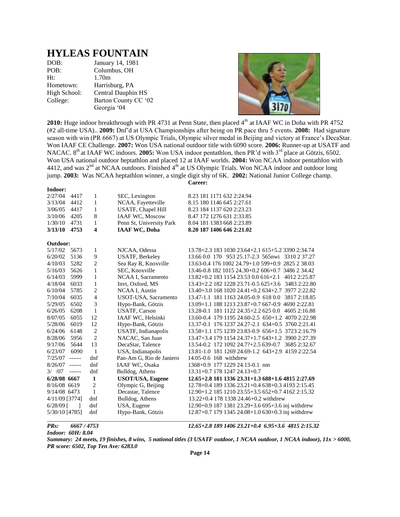#### **HYLEAS FOUNTAIN**

| DOB:         | January 14, 1981     |
|--------------|----------------------|
| POB:         | Columbus, OH         |
| Ht:          | 1.70m                |
| Hometown:    | Harrisburg, PA       |
| High School: | Central Dauphin HS   |
| College:     | Barton County CC '02 |
|              | Georgia '04          |



2010: Huge indoor breakthrough with PR 4731 at Penn State, then placed 4<sup>th</sup> at IAAF WC in Doha with PR 4752 (#2 all-time USA).. **2009:** Dnf'd at USA Championships after being on PR pace thru 5 events. **2008:** Had signature season with win (PR 6667) at US Olympic Trials, Olympic silver medal in Beijing and victory at France's DecaStar. Won IAAF CE Challenge. **2007:** Won USA national outdoor title with 6090 score. **2006:** Runner-up at USATF and NACAC. 8<sup>th</sup> at IAAF WC indoors. **2005:** Won USA indoor pentathlon, then PR'd with 3<sup>rd</sup> place at Götzis, 6502. Won USA national outdoor heptathlon and placed 12 at IAAF worlds. **2004:** Won NCAA indoor pentathlon with 4412, and was  $2<sup>nd</sup>$  at NCAA outdoors. Finished  $4<sup>th</sup>$  at US Olympic Trials. Won NCAA indoor and outdoor long jump. **2003:** Was NCAA heptathlon winner, a single digit shy of 6K. **2002:** National Junior College champ. **Career:**

| Indoor:          |          |                |                          |                                                     |
|------------------|----------|----------------|--------------------------|-----------------------------------------------------|
| 2/27/04          | 4417     | 1              | SEC, Lexington           | 8.23 181 1171 632 2:24.94                           |
| 3/13/04          | 4412     | 1              | NCAA, Fayetteville       | 8.15 180 1146 645 2:27.61                           |
| 3/06/05          | 4417     | 1              | USATF, Chapel Hill       | 8.23 184 1137 620 2:23.23                           |
| 3/10/06          | 4205     | 8              | <b>IAAF WC, Moscow</b>   | 8.47 172 1276 631 2:33.85                           |
| 1/30/10          | 4731     | 1              | Penn St, University Park | 8.04 181 1383 668 2:23.89                           |
| 3/13/10          | 4753     | 4              | <b>IAAF WC, Doha</b>     | 8.20 187 1406 646 2:21.02                           |
| Outdoor:         |          |                |                          |                                                     |
| 5/17/02          | 5673     | 1              | NJCAA, Odessa            | 13.78+2.3 183 1030 23.64+2.1 615+5.2 3390 2:34.74   |
| 6/20/02          | 5136     | 9              | <b>USATF, Berkeley</b>   | 13.66 0.0 170 953 25.17-2.3 565nwi 3310 2 37.27     |
| 4/10/03          | 5282     | $\overline{c}$ | Sea Ray R, Knoxville     | 13.63-0.4 176 1002 24.79+1.0 599+0.9 2825 2 38.03   |
| 5/16/03          | 5626     | 1              | SEC, Knoxville           | 13.46-0.8 182 1015 24.30+0.2 606+0.7 3486 2 34.42   |
| 6/14/03          | 5999     | 1              | NCAA I, Sacramento       | 13.82+0.2 183 1154 23.53 0.0 616+2.1 4012 2:25.87   |
| 4/18/04          | 6033     | 1              | Invt, Oxford, MS         | 13.43+2.2 182 1228 23.71-0.5 625+3.6 3483 2:22.80   |
| 6/10/04          | 5785     | $\overline{c}$ | NCAA I, Austin           | 13.40+3.0 168 1020 24.41+0.2 634+2.7 3977 2:22.82   |
| 7/10/04          | 6035     | $\overline{4}$ | USOT-USA, Sacramento     | 13.47-1.1 181 1163 24.05-0.9 618 0.0 3817 2:18.85   |
| 5/29/05          | 6502     | 3              | Hypo-Bank, Götzis        | 13.09+1.1 188 1213 23.87+0.7 667-0.9 4690 2:22.81   |
| 6/26/05          | 6208     | 1              | <b>USATF, Carson</b>     | 13.28-0.1 181 1122 24.35+2.2 625 0.0 4605 2:16.88   |
| 8/07/05          | 6055     | 12             | IAAF WC, Helsinki        | 13.60-0.4 179 1195 24.60-2.5 650+1.2 4070 2:22.98   |
| 5/28/06          | 6019     | 12             | Hypo-Bank, Götzis        | 13.37-0.1 176 1237 24.27-2.1 634+0.5 3760 2:21.41   |
| 6/24/06          | 6148     | $\overline{2}$ | USATF, Indianapolis      | 13.58+1.1 175 1239 23.83-0.9 656+1.5 3723 2:16.79   |
| 8/28/06          | 5956     | $\overline{c}$ | NACAC, San Juan          | 13.47+3.4 179 1154 24.37+1.7 643+1.2 3900 2:27.39   |
| 9/17/06          | 5644     | 13             | DecaStar, Talence        | 13.54-0.2 172 1092 24.7?+2.5 639-0.7 3685 2:32.67   |
| 6/23/07          | 6090     | $\mathbf{1}$   | USA, Indianapolis        | 13.81-1.0 181 1269 24.69-1.2 643+2.9 4159 2:22.54   |
| 7/25/07          | $-----1$ | dnf            | Pan-Am G, Rio de Janiero | 14.05-0.6 168 withdrew                              |
| $8/26/07$ ------ |          | dnf            | <b>IAAF WC, Osaka</b>    | 1368+0.9 177 1229 24.13-0.1 nm                      |
| 3/707            | $-----1$ | dnf            | Bulldog, Athens          | 13.31+0.7 178 1247 24.13+0.7                        |
| 6/28/08 6667     |          | $\mathbf{1}$   | <b>USOT/USA, Eugene</b>  | 12.65+2.8 181 1336 23.31+1.3 688+1.6 4815 2:27.69   |
| 8/16/08 6619     |          | $\overline{2}$ | Olympic G, Beijing       | 12.78+0.4 189 1336 23.21+0.4 638+0.3 4193 2:15.45   |
| 9/14/08 6473     |          | $\mathbf{1}$   | Decastar, Talence        | 12.90+1.2 185 1210 23.55+3.5 652+0.7 4162 2:15.32   |
| 4/11/09 [3774]   |          | dnf            | Bulldog, Athens          | 13.22+0.4 178 1338 24.46+0.2 withdrew               |
| $6/28/09$ [      | 1        | dnf            | USA, Eugene              | 12.90+0.9 187 1381 23.29+3.6 695+3.6 inj withdrew   |
| 5/30/10 [4785]   |          | dnf            | Hypo-Bank, Götzis        | $12.87+0.7$ 179 1345 24.08+1.0 630+0.3 inj withdrew |

*PRs: 6667 / 4753 12.65+2.8 189 1406 23.21+0.4 6.95+3.6 4815 2:15.32*

*Indoor: 60H: 8.04*

*Summary: 24 meets, 19 finishes, 8 wins, 5 national titles (3 USATF outdoor, 1 NCAA outdoor, 1 NCAA indoor), 11x > 6000, PR score: 6502, Top Ten Ave: 6283.0*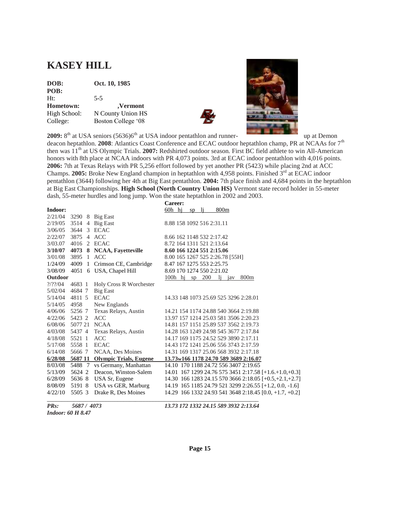## **KASEY HILL**

| DOB:         | Oct. 10, 1985      |
|--------------|--------------------|
| POB:         |                    |
| Ht:          | $5-5$              |
| Hometown:    | ,Vermont           |
| High School: | N County Union HS  |
| College:     | Boston College '08 |



**2009:** 8<sup>th</sup> at USA seniors (5636)6<sup>th</sup> at USA indoor pentathlon and runner- up at Demon

deacon heptathlon. **2008**: Atlantics Coast Conference and ECAC outdoor heptathlon champ, PR at NCAAs for 7th then was 11<sup>th</sup> at US Olympic Trials. **2007:** Redshirted outdoor season. First BC field athlete to win All-American honors with 8th place at NCAA indoors with PR 4,073 points. 3rd at ECAC indoor pentathlon with 4,016 points. **2006:** 7th at Texas Relays with PR 5,256 effort followed by yet another PR (5423) while placing 2nd at ACC Champs. **2005:** Broke New England champion in heptathlon with 4,958 points. Finished  $\hat{3}^{rd}$  at ECAC indoor pentathlon (3644) following her 4th at Big East pentathlon. **2004:** 7th place finish and 4,684 points in the heptathlon at Big East Championships. **High School (North Country Union HS)** Vermont state record holder in 55-meter dash, 55-meter hurdles and long jump. Won the state heptathlon in 2002 and 2003.

|                       |                 |                                | Career:                                                  |
|-----------------------|-----------------|--------------------------------|----------------------------------------------------------|
| Indoor:               |                 |                                | $60h$ hj<br>800 <sub>m</sub><br>li.<br>sp                |
| 2/21/04               | 3290 8 Big East |                                |                                                          |
| 2/19/05               | 3514 4          | <b>Big East</b>                | 8.88 158 1092 516 2:31.11                                |
| 3/06/05               | 3644            | 3 ECAC                         |                                                          |
| 2/22/07               | 3875 4 ACC      |                                | 8.66 162 1148 532 2:17.42                                |
| 3/03.07               | 4016            | 2 ECAC                         | 8.72 164 1311 521 2:13.64                                |
| 3/10/07               |                 | 4073 8 NCAA, Fayetteville      | 8.60 166 1224 551 2:15.06                                |
| 3/01/08               | 3895            | 1 ACC                          | 8.00 165 1267 525 2:26.78 [55H]                          |
| 1/24/09               | 4009            | 1 Crimson CE, Cambridge        | 8.47 167 1275 553 2:25.75                                |
| 3/08/09               | 4051            | 6 USA, Chapel Hill             | 8.69 170 1274 550 2:21.02                                |
| <b>Outdoor</b>        |                 |                                | 100h hi sp $200$<br>800 <sub>m</sub><br>-li<br>jav       |
| $\frac{2}{2}$ 2/2?/04 | 4683 1          | Holy Cross R Worchester        |                                                          |
| 5/02/04               | 46847           | <b>Big East</b>                |                                                          |
| 5/14/04               | 4811 5          | <b>ECAC</b>                    | 14.33 148 1073 25.69 525 3296 2:28.01                    |
| 5/14/05               | 4958            | New Englands                   |                                                          |
| 4/06/06               | 5256 7          | Texas Relays, Austin           | 14.21 154 1174 24.88 540 3664 2:19.88                    |
| 4/22/06               | 5423 2          | <b>ACC</b>                     | 13.97 157 1214 25.03 581 3506 2:20.23                    |
| 6/08/06               | 5077 21         | <b>NCAA</b>                    | 14.81 157 1151 25.89 537 3562 2:19.73                    |
| 4/03/08               | 5437 4          | Texas Relays, Austin           | 14.28 163 1249 24.98 545 3677 2:17.84                    |
| 4/18/08               | 5521 1          | <b>ACC</b>                     | 14.17 169 1175 24.52 529 3890 2:17.11                    |
| 5/17/08               | 5558 1          | <b>ECAC</b>                    | 14.43 172 1241 25.06 556 3743 2:17.59                    |
| 6/14/08               | 5666 7          | NCAA, Des Moines               | 14.31 169 1317 25.06 568 3932 2:17.18                    |
| 6/28/08               |                 | 5687 11 Olympic Trials, Eugene | 13.73w166 1178 24.70 589 3689 2:16.07                    |
| 8/03/08               |                 | 5488 7 vs Germany, Manhattan   | 14.10 170 1188 24.72 556 3407 2:19.65                    |
| 5/13/09               | 5624 2          | Deacon, Winston-Salem          | $14.01$ 167 1299 24.76 575 3451 2:17.58 [+1.6.+1.0,+0.3] |
| 6/28/09               | 5636 8          | USA Sr, Eugene                 | 14.30 166 1283 24.15 570 3666 2:18.05 [+0.5,+2.1,+2.7]   |
| 8/08/09               | 5191 8          | USA vs GER, Marburg            | 14.19 165 1185 24.79 521 3299 2:26.55 [+1.2, 0.0, -1.6]  |
| 4/22/10               | 5505 3          | Drake R, Des Moines            | 14.29 166 1332 24.93 541 3648 2:18.45 [0.0, +1.7, +0.2]  |
|                       |                 |                                |                                                          |

*Indoor: 60 H 8.47*

*PRs: 5687 / 4073 13.73 172 1332 24.15 589 3932 2:13.64*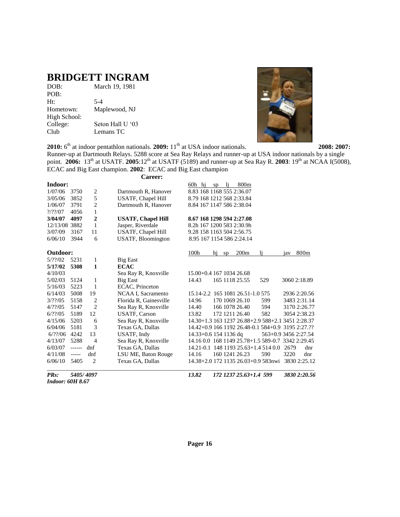## **BRIDGETT INGRAM**

| DOB:         | March 19, 1981   |
|--------------|------------------|
| POB:         |                  |
| Ht:          | $5-4$            |
| Hometown:    | Maplewood, NJ    |
| High School: |                  |
| College:     | Seton Hall U '03 |
| Club         | Lemans TC        |
|              |                  |



Runner-up at Dartmouth Relays. 5288 score at Sea Ray Relays and runner-up at USA indoor nationals by a single point. **2006:** 13<sup>th</sup> at USATF. **2005**:12<sup>th</sup> at USATF (5189) and runner-up at Sea Ray R. **2003**: 19<sup>th</sup> at NCAA I(5008), ECAC and Big East champion. **2002**: ECAC and Big East champion

| Indoor:<br>800m<br>60h hi<br>-li<br>sp<br>8.83 168 1168 555 2:36.07<br>1/07/06<br>3750<br>2<br>Dartmouth R, Hanover<br>5<br>3852<br>8.79 168 1212 568 2:33.84<br>3/05/06<br><b>USATF, Chapel Hill</b><br>$\overline{c}$<br>3791<br>1/06/07<br>Dartmouth R, Hanover<br>8.84 167 1147 586 2:38.04<br>1<br>$?$ /??/07<br>4056<br>$\overline{2}$<br>4097<br>3/04/07<br><b>USATF, Chapel Hill</b><br>8.67 168 1298 594 2:27.08<br>1<br>Jasper, Riverdale<br>12/13/08 3882<br>8.2h 167 1200 583 2:30.9h<br>USATF, Chapel Hill<br>3/07/09<br>11<br>9.28 158 1163 504 2:56.75<br>3167<br>USATF, Bloomington<br>3944<br>6<br>6/06/10<br>8.95 167 1154 586 2:24.14<br>Outdoor:<br>100h<br>800m<br>200 <sub>m</sub><br>li.<br>hi<br>sp<br>iav<br>5/22/02<br>5231<br>1<br><b>Big East</b><br><b>ECAC</b><br>5/17/02<br>5308<br>1<br>4/10/03<br>Sea Ray R, Knoxville<br>15.00+0.4 167 1034 26.68<br>165 1118 25.55<br>529<br>3060 2:18.89<br>5/02/03<br>5124<br>1<br><b>Big East</b><br>14.43<br>5223<br>5/16/03<br>1<br>ECAC, Princeton<br>5008<br>NCAA I, Sacramento<br>15.14-2.2 165 1081 26.51-1.0 575<br>6/14/03<br>19<br>2936 2:20.56<br>3/??/05<br>5158<br>2<br>Florida R, Gainesville<br>170 1069 26.10<br>14.96<br>599<br>3483 2:31.14<br>$\mathfrak{D}$<br>4/22/05<br>5147<br>Sea Ray R, Knoxville<br>166 1078 26.40<br>594<br>3170 2:26.77<br>14.40 |     |
|---------------------------------------------------------------------------------------------------------------------------------------------------------------------------------------------------------------------------------------------------------------------------------------------------------------------------------------------------------------------------------------------------------------------------------------------------------------------------------------------------------------------------------------------------------------------------------------------------------------------------------------------------------------------------------------------------------------------------------------------------------------------------------------------------------------------------------------------------------------------------------------------------------------------------------------------------------------------------------------------------------------------------------------------------------------------------------------------------------------------------------------------------------------------------------------------------------------------------------------------------------------------------------------------------------------------------------------------------|-----|
|                                                                                                                                                                                                                                                                                                                                                                                                                                                                                                                                                                                                                                                                                                                                                                                                                                                                                                                                                                                                                                                                                                                                                                                                                                                                                                                                                   |     |
|                                                                                                                                                                                                                                                                                                                                                                                                                                                                                                                                                                                                                                                                                                                                                                                                                                                                                                                                                                                                                                                                                                                                                                                                                                                                                                                                                   |     |
|                                                                                                                                                                                                                                                                                                                                                                                                                                                                                                                                                                                                                                                                                                                                                                                                                                                                                                                                                                                                                                                                                                                                                                                                                                                                                                                                                   |     |
|                                                                                                                                                                                                                                                                                                                                                                                                                                                                                                                                                                                                                                                                                                                                                                                                                                                                                                                                                                                                                                                                                                                                                                                                                                                                                                                                                   |     |
|                                                                                                                                                                                                                                                                                                                                                                                                                                                                                                                                                                                                                                                                                                                                                                                                                                                                                                                                                                                                                                                                                                                                                                                                                                                                                                                                                   |     |
|                                                                                                                                                                                                                                                                                                                                                                                                                                                                                                                                                                                                                                                                                                                                                                                                                                                                                                                                                                                                                                                                                                                                                                                                                                                                                                                                                   |     |
|                                                                                                                                                                                                                                                                                                                                                                                                                                                                                                                                                                                                                                                                                                                                                                                                                                                                                                                                                                                                                                                                                                                                                                                                                                                                                                                                                   |     |
|                                                                                                                                                                                                                                                                                                                                                                                                                                                                                                                                                                                                                                                                                                                                                                                                                                                                                                                                                                                                                                                                                                                                                                                                                                                                                                                                                   |     |
|                                                                                                                                                                                                                                                                                                                                                                                                                                                                                                                                                                                                                                                                                                                                                                                                                                                                                                                                                                                                                                                                                                                                                                                                                                                                                                                                                   |     |
|                                                                                                                                                                                                                                                                                                                                                                                                                                                                                                                                                                                                                                                                                                                                                                                                                                                                                                                                                                                                                                                                                                                                                                                                                                                                                                                                                   |     |
|                                                                                                                                                                                                                                                                                                                                                                                                                                                                                                                                                                                                                                                                                                                                                                                                                                                                                                                                                                                                                                                                                                                                                                                                                                                                                                                                                   |     |
|                                                                                                                                                                                                                                                                                                                                                                                                                                                                                                                                                                                                                                                                                                                                                                                                                                                                                                                                                                                                                                                                                                                                                                                                                                                                                                                                                   |     |
|                                                                                                                                                                                                                                                                                                                                                                                                                                                                                                                                                                                                                                                                                                                                                                                                                                                                                                                                                                                                                                                                                                                                                                                                                                                                                                                                                   |     |
|                                                                                                                                                                                                                                                                                                                                                                                                                                                                                                                                                                                                                                                                                                                                                                                                                                                                                                                                                                                                                                                                                                                                                                                                                                                                                                                                                   |     |
|                                                                                                                                                                                                                                                                                                                                                                                                                                                                                                                                                                                                                                                                                                                                                                                                                                                                                                                                                                                                                                                                                                                                                                                                                                                                                                                                                   |     |
|                                                                                                                                                                                                                                                                                                                                                                                                                                                                                                                                                                                                                                                                                                                                                                                                                                                                                                                                                                                                                                                                                                                                                                                                                                                                                                                                                   |     |
|                                                                                                                                                                                                                                                                                                                                                                                                                                                                                                                                                                                                                                                                                                                                                                                                                                                                                                                                                                                                                                                                                                                                                                                                                                                                                                                                                   |     |
|                                                                                                                                                                                                                                                                                                                                                                                                                                                                                                                                                                                                                                                                                                                                                                                                                                                                                                                                                                                                                                                                                                                                                                                                                                                                                                                                                   |     |
| 12<br>5189<br><b>USATF, Carson</b><br>172 1211 26.40<br>582<br>6/??/05<br>13.82<br>3054 2:38.23                                                                                                                                                                                                                                                                                                                                                                                                                                                                                                                                                                                                                                                                                                                                                                                                                                                                                                                                                                                                                                                                                                                                                                                                                                                   |     |
| Sea Ray R, Knoxville<br>4/15/06<br>5203<br>14.30+1.3 163 1237 26.88+2.9 588+2.1 3451 2:28.37<br>6                                                                                                                                                                                                                                                                                                                                                                                                                                                                                                                                                                                                                                                                                                                                                                                                                                                                                                                                                                                                                                                                                                                                                                                                                                                 |     |
| 3<br>6/04/06<br>5181<br>Texas GA, Dallas<br>14.42+0.9 166 1192 26.48-0.1 584+0.9 3195 2:27.??                                                                                                                                                                                                                                                                                                                                                                                                                                                                                                                                                                                                                                                                                                                                                                                                                                                                                                                                                                                                                                                                                                                                                                                                                                                     |     |
| 6/??/06<br>4242<br>13<br>USATF, Indy<br>$14.33 + 0.6$ 154 1136 dq<br>563+0.9 3456 2:27.54                                                                                                                                                                                                                                                                                                                                                                                                                                                                                                                                                                                                                                                                                                                                                                                                                                                                                                                                                                                                                                                                                                                                                                                                                                                         |     |
| Sea Ray R, Knoxville<br>14.16 0.0 168 1149 25.78+1.5 589-0.7 3342 2:29.45<br>4/13/07<br>5288<br>$\overline{\mathcal{A}}$                                                                                                                                                                                                                                                                                                                                                                                                                                                                                                                                                                                                                                                                                                                                                                                                                                                                                                                                                                                                                                                                                                                                                                                                                          |     |
| 6/03/07<br>dnf<br>Texas GA, Dallas<br>14.21-0.1 148 1193 25.63+1.4 514 0.0<br>2679<br>------                                                                                                                                                                                                                                                                                                                                                                                                                                                                                                                                                                                                                                                                                                                                                                                                                                                                                                                                                                                                                                                                                                                                                                                                                                                      | dnr |
| 160 1241 26.23<br>4/11/08<br>dnf<br>LSU ME, Baton Rouge<br>590<br>3220<br>14.16<br>-----                                                                                                                                                                                                                                                                                                                                                                                                                                                                                                                                                                                                                                                                                                                                                                                                                                                                                                                                                                                                                                                                                                                                                                                                                                                          | dnr |
| $\overline{c}$<br>6/06/10<br>5405<br>Texas GA, Dallas<br>14.38+2.0 172 1135 26.03+0.9 583nwi<br>3830 2:25.12                                                                                                                                                                                                                                                                                                                                                                                                                                                                                                                                                                                                                                                                                                                                                                                                                                                                                                                                                                                                                                                                                                                                                                                                                                      |     |

*PRs: 5405/ 4097 13.82 172 1237 25.63+1.4 599 3830 2:20.56 Indoor: 60H 8.67*

**Pager 16**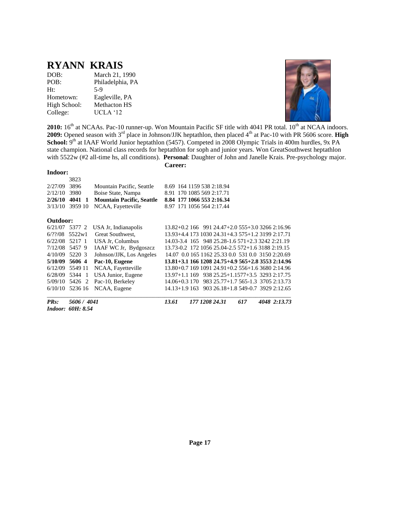#### **RYANN KRAIS**

| DOB:         | March 21, 1990      |
|--------------|---------------------|
| POB:         | Philadelphia, PA    |
| Ht:          | $5-9$               |
| Hometown:    | Eagleville, PA      |
| High School: | <b>Methacton HS</b> |
| College:     | UCLA '12            |



**2010:** 16<sup>th</sup> at NCAAs. Pac-10 runner-up. Won Mountain Pacific SF title with 4041 PR total. 10<sup>th</sup> at NCAA indoors. **2009:** Opened season with 3<sup>rd</sup> place in Johnson/JJK heptathlon, then placed 4<sup>th</sup> at Pac-10 with PR 5606 score. **High** School: 9<sup>th</sup> at IAAF World Junior heptathlon (5457). Competed in 2008 Olympic Trials in 400m hurdles, 9x PA state champion. National class records for heptathlon for soph and junior years. Won GreatSouthwest heptathlon with 5522w (#2 all-time hs, all conditions). **Personal**: Daughter of John and Janelle Krais. Pre-psychology major.

#### **Indoor:**

 3823 2/27/09 3896 Mountain Pacific, Seattle 8.69 164 1159 538 2:18.94 2/12/10 3980 Boise State, Nampa 8.91 170 1085 569 2:17.71 **2/26/10 4041 1 Mountain Pacific, Seattle 8.84 177 1066 553 2:16.34** 3/13/10 3959 10 NCAA, Fayetteville 8.97 171 1056 564 2:17.44 **Outdoor:** 6/21/07 5377 2 USA Jr, Indianapolis 13.82+0.2 166 991 24.47+2.0 555+3.0 3266 2:16.96 6/??/08 5522w1 Great Southwest, 13.93+4.4 173 1030 24.31+4.3 575+1.2 3199 2:17.71 6/22/08 5217 1 USA Jr, Columbus 14.03-3.4 165 948 25.28-1.6 571+2.3 3242 2:21.19 7/12/08 5457 9 IAAF WC Jr, Bydgoszcz 13.73-0.2 172 1056 25.04-2.5 572+1.6 3188 2:19.15 4/10/09 5220 3 Johnson/JJK, Los Angeles 14.07 0.0 165 1162 25.33 0.0 531 0.0 3150 2:20.69 **5/10/09 5606 4 Pac-10, Eugene 13.81+3.1 166 1208 24.75+4.9 565+2.8 3553 2:14.96** 6/12/09 5549 11 NCAA, Fayetteville 13.80+0.7 169 1091 24.91+0.2 556+1.6 3680 2:14.96 6/28/09 5344 1 USA Junior, Eugene 13.97+1.1 169 938 25.25+1.1577+3.5 3293 2:17.75<br>5/09/10 5426 2 Pac-10, Berkeley 14.06+0.3 170 983 25.77+1.7 565-1.3 3705 2:13.73 5/09/10 5426 2 Pac-10, Berkeley 14.06+0.3 170 983 25.77+1.7 565-1.3 3705 2:13.73 14.13+1.9 163 903 26.18+1.8 549-0.7 3929 2:12.65 \_\_\_\_\_\_\_\_\_\_\_\_\_\_\_\_\_\_\_\_\_\_\_\_\_\_\_\_\_\_\_\_\_\_\_\_\_\_\_\_\_\_\_\_\_\_\_\_\_\_\_\_\_\_\_\_\_\_\_\_\_\_\_\_\_\_\_\_\_\_\_\_\_\_\_\_\_\_\_\_\_\_\_ *PRs: 5606 / 4041 13.61 177 1208 24.31 617 4048 2:13.73 Indoor: 60H: 8.54*

**Career:**

**Page 17**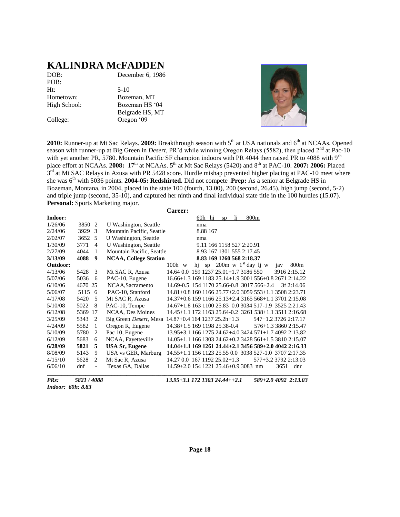#### **KALINDRA McFADDEN**

| DOB:         | December 6, 1986 |
|--------------|------------------|
| POB:         |                  |
| Ht:          | $5-10$           |
| Hometown:    | Bozeman, MT      |
| High School: | Bozeman HS '04   |
|              | Belgrade HS, MT  |
| College:     | Oregon '09       |



2010: Runner-up at Mt Sac Relays. 2009: Breakthrough season with 5<sup>th</sup> at USA nationals and 6<sup>th</sup> at NCAAs. Opened season with runner-up at Big Green in *Desert*, PR'd while winning Oregon Relays (5582), then placed 2<sup>nd</sup> at Pac-10 with yet another PR, 5780. Mountain Pacific SF champion indoors with PR 4044 then raised PR to 4088 with 9<sup>th</sup> place effort at NCAAs. 2008: 17<sup>th</sup> at NCAAs. 5<sup>th</sup> at Mt Sac Relays (5420) and 8<sup>th</sup> at PAC-10. 2007: 2006: Placed 3<sup>rd</sup> at Mt SAC Relays in Azusa with PR 5428 score. Hurdle mishap prevented higher placing at PAC-10 meet where she was 6th with 5036 points. **2004-05: Redshirted.** Did not compete .**Prep:** As a senior at Belgrade HS in Bozeman, Montana, in 2004, placed in the state 100 (fourth, 13.00), 200 (second, 26.45), high jump (second, 5-2) and triple jump (second, 35-10), and captured her ninth and final individual state title in the 100 hurdles (15.07). **Personal:** Sports Marketing major.

|          |                                 |                                | <b>Career:</b>                                         |                           |    |     |                                    |                      |              |
|----------|---------------------------------|--------------------------------|--------------------------------------------------------|---------------------------|----|-----|------------------------------------|----------------------|--------------|
| Indoor:  |                                 |                                |                                                        | 60h hj                    | sp | li. | 800m                               |                      |              |
| 1/26/06  | 3850<br>-2                      | U Washington, Seattle          |                                                        | nma                       |    |     |                                    |                      |              |
| 2/24/06  | 3929<br>3                       | Mountain Pacific, Seattle      |                                                        | 8.88 167                  |    |     |                                    |                      |              |
| 2/02/07  | 3652 5                          | U Washington, Seattle          |                                                        | nma                       |    |     |                                    |                      |              |
| 1/30/09  | 3771<br>$\overline{4}$          | U Washington, Seattle          |                                                        | 9.11 166 1158 527 2:20.91 |    |     |                                    |                      |              |
| 2/27/09  | 4044<br>1                       | Mountain Pacific, Seattle      |                                                        | 8.93 167 1301 555 2:17.45 |    |     |                                    |                      |              |
| 3/13/09  | $\boldsymbol{9}$<br>4088        | <b>NCAA, College Station</b>   |                                                        | 8.83 169 1260 568 2:18.37 |    |     |                                    |                      |              |
| Outdoor: |                                 |                                | $100h$ w                                               | hi                        |    |     | sp 200m w $1^{\text{st}}$ day lj w | jav                  | 800m         |
| 4/13/06  | 5428<br>3                       | Mt SAC R, Azusa                | 14.64 0.0 159 1237 25.01+1.7 3186 550                  |                           |    |     |                                    | 3916 2:15.12         |              |
| 5/07/06  | 5036<br>6                       | PAC-10, Eugene                 | 16.66+1.3 169 1183 25.14+1.9 3001 556+0.8 2671 2:14.22 |                           |    |     |                                    |                      |              |
| 6/10/06  | 4670 25                         | NCAA, Sacramento               | 14.69-0.5 154 1170 25.66-0.8 3017 566+2.4              |                           |    |     |                                    |                      | $3f$ 2:14.06 |
| 5/06/07  | 5115 6                          | PAC-10, Stanford               | 14.81+0.8 160 1166 25.77+2.0 3059 553+1.1 3508 2:23.71 |                           |    |     |                                    |                      |              |
| 4/17/08  | 5420<br>5                       | Mt SAC R, Azusa                | 14.37+0.6 159 1166 25.13+2.4 3165 568+1.1 3701 2:15.08 |                           |    |     |                                    |                      |              |
| 5/10/08  | 5022<br>8                       | PAC-10, Tempe                  | 14.67+1.8 163 1100 25.83 0.0 3034 517-1.9 3525 2:21.43 |                           |    |     |                                    |                      |              |
| 6/12/08  | 5369<br>17                      | NCAA, Des Moines               | 14.45+1.1 172 1163 25.64-0.2 3261 538+1.1 3511 2:16.68 |                           |    |     |                                    |                      |              |
| 3/25/09  | 5343<br>2                       | Big Green <i>Desert</i> , Mesa | $14.87 + 0.4$ 164 1237 25.2h + 1.3                     |                           |    |     | 547+1.2 3726 2:17.17               |                      |              |
| 4/24/09  | 5582<br>$\mathbf{1}$            | Oregon R, Eugene               | 14.38+1.5 169 1198 25.38-0.4                           |                           |    |     |                                    | 576+1.3 3860 2:15.47 |              |
| 5/10/09  | 5780<br>2                       | Pac 10, Eugene                 | 13.95+3.1 166 1275 24.62+4.0 3424 571+1.7 4092 2:13.82 |                           |    |     |                                    |                      |              |
| 6/12/09  | 5683<br>6                       | NCAA, Fayetteville             | 14.05+1.1 166 1303 24.62+0.2 3428 561+1.5 3810 2:15.07 |                           |    |     |                                    |                      |              |
| 6/28/09  | 5821<br>5                       | <b>USA Sr, Eugene</b>          | 14.04+1.1 169 1261 24.44+2.1 3456 589+2.0 4042 2:16.33 |                           |    |     |                                    |                      |              |
| 8/08/09  | 5143<br>9                       | USA vs GER, Marburg            | 14.55+1.1 156 1123 25.55 0.0 3038 527-1.0 3707 2:17.35 |                           |    |     |                                    |                      |              |
| 4/15/10  | 5628<br>2                       | Mt Sac R, Azusa                | 14.27 0.0 167 1192 25.02+1.3                           |                           |    |     | 577+3.2 3792 2:13.03               |                      |              |
| 6/06/10  | dnf<br>$\overline{\phantom{0}}$ | Texas GA, Dallas               | 14.59+2.0 154 1221 25.46+0.9 3083 nm                   |                           |    |     |                                    | 3651                 | dnr          |

*Indoor: 60h: 8.83*

*PRs: 5821 / 4088 13.95+3.1 172 1303 24.44++2.1 589+2.0 4092 2:13.03*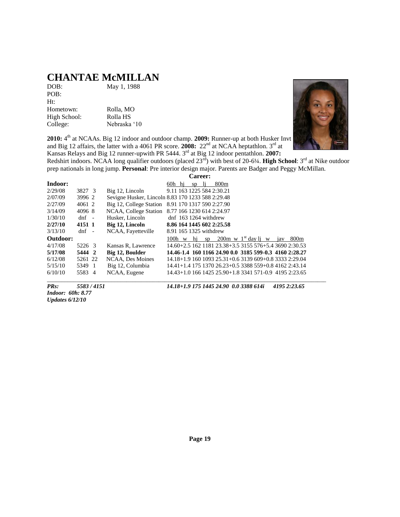# **CHANTAE McMILLAN**<br>DOB: May 1, 1988

May 1, 1988

POB: Ht: Hometown: Rolla, MO High School: Rolla HS College: Nebraska '10

2010: 4<sup>th</sup> at NCAAs. Big 12 indoor and outdoor champ. 2009: Runner-up at both Husker Invt and Big 12 affairs, the latter with a 4061 PR score. 2008: 22<sup>nd</sup> at NCAA heptathlon. 3<sup>rd</sup> at Kansas Relays and Big 12 runner-upwith PR 5444. 3 rd at Big 12 indoor pentathlon. **2007:**

Redshirt indoors. NCAA long qualifier outdoors (placed 23<sup>rd</sup>) with best of 20-6¼. **High School**: 3<sup>rd</sup> at Nike outdoor prep nationals in long jump. **Personal**: Pre interior design major. Parents are Badger and Peggy McMillan.

|          |         |                                                   |                        | Career: |      |                                                        |  |     |                  |  |
|----------|---------|---------------------------------------------------|------------------------|---------|------|--------------------------------------------------------|--|-----|------------------|--|
| Indoor:  |         |                                                   | 60h hi                 | SD      | - 11 | 800 <sub>m</sub>                                       |  |     |                  |  |
| 2/29/08  | 3827 3  | Big 12, Lincoln                                   |                        |         |      | 9.11 163 1225 584 2:30.21                              |  |     |                  |  |
| 2/07/09  | 3996 2  | Sevigne Husker, Lincoln 8.83 170 1233 588 2:29.48 |                        |         |      |                                                        |  |     |                  |  |
| 2/27/09  | 4061 2  | Big 12, College Station 8.91 170 1317 590 2:27.90 |                        |         |      |                                                        |  |     |                  |  |
| 3/14/09  | 4096 8  | NCAA, College Station 8.77 166 1230 614 2:24.97   |                        |         |      |                                                        |  |     |                  |  |
| 1/30/10  | $dnf -$ | Husker, Lincoln                                   |                        |         |      | dnf $163$ 1264 withdrew                                |  |     |                  |  |
| 2/27/10  | 4151 1  | Big 12, Lincoln                                   |                        |         |      | 8.86 164 1445 602 2:25.58                              |  |     |                  |  |
| 3/13/10  | $dnf -$ | NCAA, Fayetteville                                | 8.91 165 1325 withdrew |         |      |                                                        |  |     |                  |  |
| Outdoor: |         |                                                   | $100h$ w hi            |         | SD   | $200m \le 1^{st}$ day li w                             |  | iav | 800 <sub>m</sub> |  |
| 4/17/08  | 5226 3  | Kansas R, Lawrence                                |                        |         |      | 14.60+2.5 162 1181 23.38+3.5 3155 576+5.4 3690 2:30.53 |  |     |                  |  |
| 5/17/08  | 5444 2  | Big 12, Boulder                                   |                        |         |      | 14.46-1.4 160 1166 24.90 0.0 3185 599-0.3 4160 2:28.27 |  |     |                  |  |
| 6/12/08  | 5261 22 | NCAA. Des Moines                                  |                        |         |      | 14.18+1.9 160 1093 25.31+0.6 3139 609+0.8 3333 2:29.04 |  |     |                  |  |
| 5/15/10  | 5349 1  | Big 12, Columbia                                  |                        |         |      | 14.41+1.4 175 1370 26.23+0.5 3388 559+0.8 4162 2:43.14 |  |     |                  |  |
| 6/10/10  | 5583 4  | NCAA, Eugene                                      |                        |         |      | 14.43+1.0 166 1425 25.90+1.8 3341 571-0.9 4195 2:23.65 |  |     |                  |  |

*Indoor: 60h: 8.77 Updates 6/12/10*

*PRs: 5583 / 4151 14.18+1.9 175 1445 24.90 0.0 3388 614i 4195 2:23.65*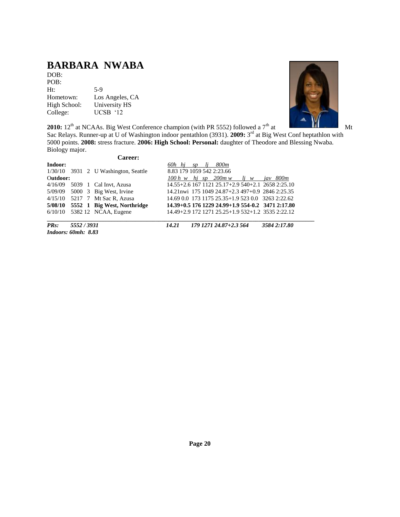## **BARBARA NWABA**

DOB: POB: Ht: 5-9<br>Hometown: Los Hometown: Los Angeles, CA<br>High School: University HS University HS College: UCSB '12



**2010:**  $12^{th}$  at NCAAs. Big West Conference champion (with PR 5552) followed a  $7^{th}$  at Mt

Sac Relays. Runner-up at U of Washington indoor pentathlon (3931). 2009: 3<sup>rd</sup> at Big West Conf heptathlon with 5000 points. **2008:** stress fracture. **2006: High School: Personal:** daughter of Theodore and Blessing Nwaba. Biology major.

|          |                            | <b>Career:</b>                         |                           |     |                                                       |           |             |
|----------|----------------------------|----------------------------------------|---------------------------|-----|-------------------------------------------------------|-----------|-------------|
| Indoor:  |                            |                                        | 60h hi sp                 | li. | 800m                                                  |           |             |
|          |                            | $1/30/10$ 3931 2 U Washington, Seattle | 8.83 179 1059 542 2:23.66 |     |                                                       |           |             |
| Outdoor: |                            |                                        |                           |     | $100 h$ w hi sp $200 m$ w                             | $li \t w$ | jav 800m    |
|          |                            | 4/16/09 5039 1 Cal Invt, Azusa         |                           |     | 14.55+2.6 167 1121 25.17+2.9 540+2.1 2658 2:25.10     |           |             |
|          |                            | 5/09/09 5000 3 Big West, Irvine        |                           |     | 14.21 nwi 175 1049 24.87 + 2.3 497 + 0.9 2846 2:25.35 |           |             |
|          |                            | 4/15/10 5217 7 Mt Sac R, Azusa         |                           |     | 14.69 0.0 173 1175 25.35+1.9 523 0.0 3263 2:22.62     |           |             |
|          |                            | 5/08/10 5552 1 Big West, Northridge    |                           |     | 14.39+0.5 176 1229 24.99+1.9 554-0.2 3471 2:17.80     |           |             |
|          |                            | $6/10/10$ 5382 12 NCAA, Eugene         |                           |     | 14.49+2.9 172 1271 25.25+1.9 532+1.2 3535 2:22.12     |           |             |
| $PRs$ :  | 5552 / 3931                |                                        | 14.21                     |     | 179 1271 24.87+2.3 564                                |           | 35842:17.80 |
|          | <i>Indoors: 60mh: 8.83</i> |                                        |                           |     |                                                       |           |             |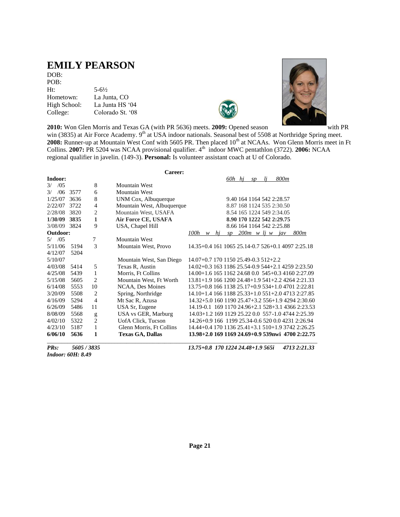### **EMILY PEARSON**

DOB: POB: Ht: 5-6½ Hometown: La Junta, CO High School: La Junta HS '04 College: Colorado St. '08





**2010:** Won Glen Morris and Texas GA (with PR 5636) meets. **2009:** Opened season with PR

win (3835) at Air Force Academy. 9<sup>th</sup> at USA indoor nationals. Seasonal best of 5508 at Northridge Spring meet. 2008: Runner-up at Mountain West Conf with 5605 PR. Then placed 10<sup>th</sup> at NCAAs. Won Glenn Morris meet in Ft Collins. **2007:** PR 5204 was NCAA provisional qualifier. 4<sup>th</sup> indoor MWC pentathlon (3722). **2006:** NCAA regional qualifier in javelin. (149-3). **Personal:** Is volunteer assistant coach at U of Colorado.

|                       |      |                | Career:                    |                                      |    |        |    |    |                                                   |                                                   |
|-----------------------|------|----------------|----------------------------|--------------------------------------|----|--------|----|----|---------------------------------------------------|---------------------------------------------------|
| Indoor:               |      |                |                            |                                      |    | 60h hi | SD | li | 800m                                              |                                                   |
| /0.5<br>$\frac{3}{2}$ |      | 8              | <b>Mountain West</b>       |                                      |    |        |    |    |                                                   |                                                   |
| /06<br>$\frac{3}{2}$  | 3577 | 6              | <b>Mountain West</b>       |                                      |    |        |    |    |                                                   |                                                   |
| 1/25/07               | 3636 | 8              | UNM Cox, Albuquerque       |                                      |    |        |    |    | 9.40 164 1164 542 2:28.57                         |                                                   |
| 2/22/07               | 3722 | $\overline{4}$ | Mountain West, Albuquerque |                                      |    |        |    |    | 8.87 168 1124 535 2:30.50                         |                                                   |
| 2/28/08               | 3820 | $\overline{2}$ | Mountain West, USAFA       |                                      |    |        |    |    | 8.54 165 1224 549 2:34.05                         |                                                   |
| 1/30/09               | 3835 | 1              | Air Force CE, USAFA        |                                      |    |        |    |    | 8.90 170 1222 542 2:29.75                         |                                                   |
| 3/08/09               | 3824 | 9              | USA, Chapel Hill           |                                      |    |        |    |    | 8.66 164 1164 542 2:25.88                         |                                                   |
| Outdoor:              |      |                |                            | $100h \quad w$                       | hi | SD     |    |    | $200m$ w lj w jav                                 | 800m                                              |
| /05<br>5/             |      | 7              | Mountain West              |                                      |    |        |    |    |                                                   |                                                   |
| 5/11/06               | 5194 | 3              | Mountain West, Provo       |                                      |    |        |    |    | 14.35+0.4 161 1065 25.14-0.7 526+0.1 4097 2:25.18 |                                                   |
| 4/12/07               | 5204 |                |                            |                                      |    |        |    |    |                                                   |                                                   |
| 5/10/07               |      |                | Mountain West, San Diego   | 14.07+0.7 170 1150 25.49-0.3 512+2.2 |    |        |    |    |                                                   |                                                   |
| 4/03/08               | 5414 | 5              | Texas R, Austin            |                                      |    |        |    |    | 14.02+0.3 163 1186 25.54-0.9 544+2.1 4259 2:23.50 |                                                   |
| 4/25/08               | 5439 | 1              | Morris, Ft Collins         |                                      |    |        |    |    | 14.00+1.6 165 1162 24.68 0.0 545+0.3 4160 2:27.09 |                                                   |
| 5/15/08               | 5605 | $\overline{2}$ | Mountain West, Ft Worth    |                                      |    |        |    |    | 13.81+1.9 166 1200 24.48+1.9 541+2.2 4264 2:21.33 |                                                   |
| 6/14/08               | 5553 | 10             | NCAA, Des Moines           |                                      |    |        |    |    | 13.75+0.8 166 1138 25.17+0.9 534+1.0 4701 2:22.81 |                                                   |
| 3/20/09               | 5508 | $\overline{2}$ | Spring, Northridge         |                                      |    |        |    |    | 14.10+1.4 166 1188 25.33+1.0 551+2.0 4713 2:27.85 |                                                   |
| 4/16/09               | 5294 | $\overline{4}$ | Mt Sac R, Azusa            |                                      |    |        |    |    |                                                   | 14.32+5.0 160 1190 25.47+3.2 556+1.9 4294 2:30.60 |
| 6/26/09               | 5486 | 11             | USA Sr, Eugene             |                                      |    |        |    |    |                                                   | 14.19-0.1 169 1170 24.96+2.1 528+3.1 4366 2:23.53 |
| 8/08/09               | 5568 | g              | USA vs GER, Marburg        |                                      |    |        |    |    | 14.03+1.2 169 1129 25.22 0.0 557-1.0 4744 2:25.39 |                                                   |
| 4/02/10               | 5322 | $\overline{2}$ | <b>UofA Click, Tucson</b>  |                                      |    |        |    |    | 14.26+0.9 166 1199 25.34-0.6 520 0.0 4231 2:26.94 |                                                   |
| 4/23/10               | 5187 | 1              | Glenn Morris, Ft Collins   |                                      |    |        |    |    | 14.44+0.4 170 1136 25.41+3.1 510+1.9 3742 2:26.25 |                                                   |
| 6/06/10               | 5636 | 1              | <b>Texas GA, Dallas</b>    |                                      |    |        |    |    |                                                   | 13.98+2.0 169 1169 24.69+0.9 539nwi 4700 2:22.75  |
|                       |      |                |                            |                                      |    |        |    |    |                                                   |                                                   |

*Indoor: 60H: 8.49*

*PRs: 5605 / 3835 13.75+0.8 170 1224 24.48+1.9 565i 4713 2:21.33*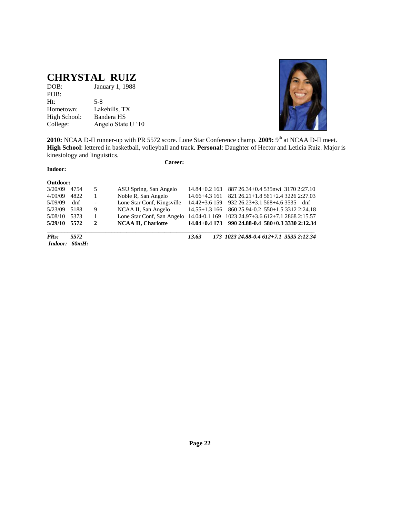## **CHRYSTAL RUIZ**

| DOB:         | January 1, 1988    |
|--------------|--------------------|
| POB:         |                    |
| Ht:          | $5-8$              |
| Hometown:    | Lakehills, TX      |
| High School: | Bandera HS         |
| College:     | Angelo State U '10 |



2010: NCAA D-II runner-up with PR 5572 score. Lone Star Conference champ. 2009: 9<sup>th</sup> at NCAA D-II meet. **High School**: lettered in basketball, volleyball and track. **Personal**: Daughter of Hector and Leticia Ruiz. Major is kinesiology and linguistics.

#### **Indoor:**

**Career:**

| Indoor:  | 60mH: |                |                                                                              |                  |                                                    |
|----------|-------|----------------|------------------------------------------------------------------------------|------------------|----------------------------------------------------|
| $PRs$ :  | 5572  |                |                                                                              | 13.63            | 173 1023 24.88-0.4 612+7.1 3535 2:12.34            |
| 5/29/10  | 5572  | $\mathbf{2}$   | <b>NCAA II. Charlotte</b>                                                    |                  | $14.04+0.4$ 173 990 24.88-0.4 580+0.3 3330 2:12.34 |
| 5/08/10  | 5373  |                | Lone Star Conf, San Angelo 14.04-0.1 169 1023 24.97+3.6 612+7.1 2868 2:15.57 |                  |                                                    |
| 5/23/09  | 5188  | 9              | NCAA II, San Angelo                                                          |                  | 14,55+1.3 166 860 25.94-0.2 550+1.5 3312 2:24.18   |
| 5/09/09  | dnf   | $\blacksquare$ | Lone Star Conf, Kingsville                                                   |                  | $14.42 + 3.6$ 159 932 26.23+3.1 568+4.6 3535 dnf   |
| 4/09/09  | 4822  |                | Noble R, San Angelo                                                          | 14.66+4.3 161    | 821 26.21 + 1.8 561 + 2.4 3226 2:27.03             |
| 3/20/09  | 4754  | 5              | ASU Spring, San Angelo                                                       | $14.84 + 0.2163$ | 887 26.34+0.4 535 nwi 3170 2:27.10                 |
| Outdoor: |       |                |                                                                              |                  |                                                    |

**Page 22**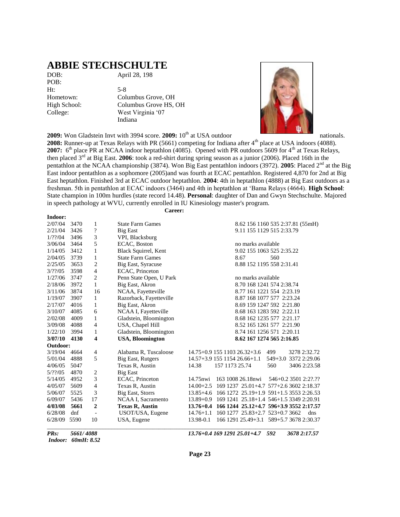#### **ABBIE STECHSCHULTE**

POB: Ht: 5-8

DOB: April 28, 198

Hometown: Columbus Grove, OH High School: Columbus Grove HS, OH College: West Virginia '07 Indiana

**2009:** Won Gladstein Invt with 3994 score. **2009:** 10<sup>th</sup> at USA outdoor nationals.



2008: Runner-up at Texas Relays with PR (5661) competing for Indiana after 4<sup>th</sup> place at USA indoors (4088). 2007: 6<sup>th</sup> place PR at NCAA indoor heptathlon (4085). Opened with PR outdoors 5609 for 4<sup>th</sup> at Texas Relays, then placed 3rd at Big East. **2006**: took a red-shirt during spring season as a junior (2006). Placed 16th in the pentathlon at the NCAA championship (3874). Won Big East pentathlon indoors (3972). **2005**: Placed 2<sup>nd</sup> at the Big East indoor pentathlon as a sophomore (2005)and was fourth at ECAC pentathlon. Registered 4,870 for 2nd at Big East heptathlon. Finished 3rd at ECAC outdoor heptathlon. **2004**: 4th in heptathlon (4888) at Big East outdoors as a freshman. 5th in pentathlon at ECAC indoors (3464) and 4th in heptathlon at 'Bama Relays (4664). **High School**: State champion in 100m hurdles (state record 14.48). **Personal**: daughter of Dan and Gwyn Stechschulte. Majored in speech pathology at WVU, currently enrolled in IU Kinesiology master's program. **Career:**

#### **Indoor:**

| PRs:               | 5661/4088    |                |                                    | 592<br>13.76+0.4 169 1291 25.01+4.7<br>3678 2:17.57          |
|--------------------|--------------|----------------|------------------------------------|--------------------------------------------------------------|
| 6/28/09            | 5590         | 10             | USA, Eugene                        | 13.98-0.1<br>166 1291 25.49+3.1 589+5.7 3678 2:30.37         |
| 6/28/08            | dnf          |                | USOT/USA, Eugene                   | $14.76 + 1.1$<br>160 1277 25.83+2.7 523+0.7 3662<br>dns      |
| 4/03/08            | 5661         | $\overline{2}$ | <b>Texas R, Austin</b>             | 13.76+0.4 166 1244 25.12+4.7 596+3.9 3552 2:17.57            |
| 6/09/07            | 5436         | 17             | NCAA I, Sacramento                 | 13.89+0.9 169 1241 25.18+1.4 546+1.5 3349 2:20.91            |
| 5/06/07            | 5525         | 3              | Big East, Storrs                   | 13.85+4.6 166 1272 25.19+1.9 591+1.5 3553 2:26.53            |
| 4/05/07            | 5609         | 4              | Texas R, Austin                    | 169 1237 25.01 + 4.7 577 + 2.6 3602 2:18.37<br>$14.00 + 2.5$ |
| 5/14/05            | 4952         | 3              | ECAC, Princeton                    | 14.75nwi<br>163 1008 26.18 nwi<br>546+0.2 3501 2:2?.??       |
| 5/22/05            | 4870         | 2              | <b>Big East</b>                    |                                                              |
| 4/06/05            | 5047         |                | Texas R, Austin                    | 157 1173 25.74<br>560<br>14.38<br>3406 2:23.58               |
| 5/01/04            | 4888         | 5              | Big East, Rutgers                  | 14.57+3.9 155 1154 26.66+1.1<br>$549 + 3.0$<br>3372 2:29.06  |
| 3/19/04            | 4664         | 4              | Alabama R, Tuscaloose              | 14.75+0.9 155 1103 26.32+3.6<br>499<br>3278 2:32.72          |
| Outdoor:           |              |                |                                    |                                                              |
| 3/07/10            | 4130         | 4              | <b>USA, Bloomington</b>            | 8.62 167 1274 565 2:16.85                                    |
| 1/22/10            | 3994         | 1              | Gladstein, Bloomington             | 8.74 161 1256 571 2:20.11                                    |
| 3/09/08            | 4088         | 4              | USA, Chapel Hill                   | 8.52 165 1261 577 2:21.90                                    |
| 2/02/08            | 4009         | 1              | Gladstein, Bloomington             | 8.68 162 1235 577 2:21.17                                    |
| 3/10/07            | 4085         | 6              | NCAA I, Fayetteville               | 8.68 163 1283 592 2:22.11                                    |
| 2/17/07            | 4016         | 1              | Big East, Akron                    | 8.69 159 1247 592 2:21.80                                    |
| 1/19/07            | 3907         | $\mathbf{1}$   | Razorback, Fayetteville            | 8.87 168 1077 577 2:23.24                                    |
| 3/11/06            | 3874         | 16             | NCAA, Fayetteville                 | 8.77 161 1221 554 2:23.19                                    |
| 2/18/06            | 3972         | $\mathbf{1}$   | Big East, Akron                    | 8.70 168 1241 574 2:38.74                                    |
| 1/27/06            | 3747         | $\overline{c}$ | Penn State Open, U Park            | no marks available                                           |
| $3/??\; 05$        | 3598         | 4              | ECAC, Princeton                    |                                                              |
| 2/25/05            | 3653         | 2              | Big East, Syracuse                 | 8.88 152 1195 558 2:31.41                                    |
| 2/04/05            | 3739         | $\mathbf{1}$   | <b>State Farm Games</b>            | 8.67<br>560                                                  |
| 1/14/05            | 3412         | $\mathbf{1}$   | Black Squirrel, Kent               | 9.02 155 1063 525 2:35.22                                    |
| 3/06/04            | 3464         | 5              | ECAC, Boston                       | no marks available                                           |
| 2/21/04<br>1/??/04 | 3426<br>3496 | ?<br>3         | <b>Big East</b><br>VPI, Blacksburg | 9.11 155 1129 515 2:33.79                                    |
|                    |              | 1              |                                    | 8.62 156 1160 535 2:37.81 (55mH)                             |
| 2/07/04            | 3470         |                | <b>State Farm Games</b>            |                                                              |

*Indoor: 60mH: 8.52*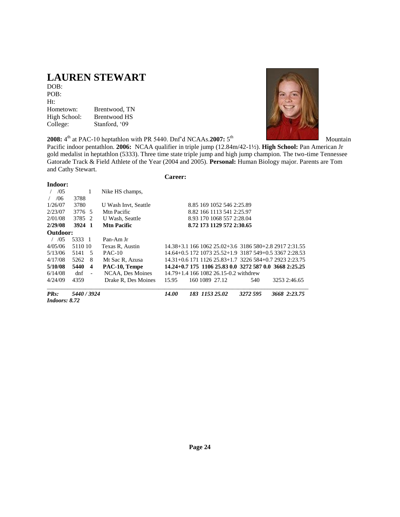## **LAUREN STEWART**

DOB: POB: Ht: Hometown: Brentwood, TN High School: Brentwood HS College: Stanford, '09

**2008:**  $4^{\text{th}}$  at PAC-10 heptathlon with PR 5440. Dnf'd NCAAs.2007: 5<sup>th</sup> Mountain



Pacific indoor pentathlon. **2006:** NCAA qualifier in triple jump (12.84m/42-1½). **High School:** Pan American Jr gold medalist in heptathlon (5333). Three time state triple jump and high jump champion. The two-time Tennessee Gatorade Track & Field Athlete of the Year (2004 and 2005). **Personal:** Human Biology major. Parents are Tom and Cathy Stewart. **Career:**

| Indoor:           |             |                         |                                                        |  |
|-------------------|-------------|-------------------------|--------------------------------------------------------|--|
| /0.5              | 1           | Nike HS champs,         |                                                        |  |
| /06               | 3788        |                         |                                                        |  |
| 1/26/07           | 3780        | U Wash Invt. Seattle    | 8.85 169 1052 546 2:25.89                              |  |
| 2/23/07           | 3776 5      | M <sub>tn</sub> Pacific | 8.82 166 1113 541 2:25.97                              |  |
| 2/01/08           | 3785 2      | U Wash, Seattle         | 8.93 170 1068 557 2:28.04                              |  |
| 2/29/08           | 3924 1      | <b>Mtn Pacific</b>      | 8.72 173 1129 572 2:30.65                              |  |
| Outdoor:          |             |                         |                                                        |  |
| / 0.5             | 5333 1      | Pan-Am Jr               |                                                        |  |
| 4/05/06           | 5110 10     | Texas R, Austin         | 14.38+3.1 166 1062 25.02+3.6 3186 580+2.8 2917 2:31.55 |  |
| 5/13/06           | 5141<br>- 5 | $PAC-10$                | 14.64+0.5 172 1073 25.52+1.9 3187 549+0.5 3367 2:28.53 |  |
| 4/17/08           | 5262<br>- 8 | Mt Sac R, Azusa         | 14.31+0.6 171 1126 25.83+1.7 3226 584+0.7 2923 2:23.75 |  |
| 5/10/08           | 5440<br>-4  | PAC-10, Tempe           | 14.24+0.7 175 1106 25.83 0.0 3272 587 0.0 3668 2:25.25 |  |
| 6/14/08           | $d$ nf      | NCAA, Des Moines        | 14.79+1.4 166 1082 26.15-0.2 withdrew                  |  |
| 4/24/09           | 4359        | Drake R, Des Moines     | 3253 2:46.65<br>160 1089 27.12<br>15.95<br>540         |  |
| PR <sub>s</sub> : | 5440 / 3924 |                         | 14.00<br>183 1153 25.02<br>3272 595<br>3668 2:23.75    |  |

*Indoors: 8.72*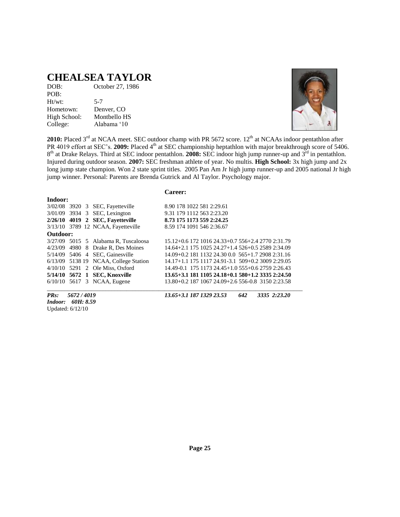#### **CHEALSEA TAYLOR**

| DOB:         | October 27, 1986 |
|--------------|------------------|
| POB:         |                  |
| Ht/wt:       | $5 - 7$          |
| Hometown:    | Denver, CO       |
| High School: | Montbello HS     |
| College:     | Alabama '10      |



**2010:** Placed 3<sup>rd</sup> at NCAA meet. SEC outdoor champ with PR 5672 score. 12<sup>th</sup> at NCAAs indoor pentathlon after PR 4019 effort at SEC's. 2009: Placed 4<sup>th</sup> at SEC championship heptathlon with major breakthrough score of 5406. 8<sup>th</sup> at Drake Relays. Third at SEC indoor pentathlon. **2008:** SEC indoor high jump runner-up and 3<sup>rd</sup> in pentathlon. Injured during outdoor season. **2007:** SEC freshman athlete of year. No multis. **High School:** 3x high jump and 2x long jump state champion. Won 2 state sprint titles. 2005 Pan Am Jr high jump runner-up and 2005 national Jr high jump winner. Personal: Parents are Brenda Gutrick and Al Taylor. Psychology major.

#### **Career:**

| Indoor:  |  |  |                                        |                                                   |  |  |  |
|----------|--|--|----------------------------------------|---------------------------------------------------|--|--|--|
|          |  |  | 3/02/08 3920 3 SEC, Fayetteville       | 8.90 178 1022 581 2:29.61                         |  |  |  |
|          |  |  | 3/01/09 3934 3 SEC, Lexington          | 9.31 179 1112 563 2:23.20                         |  |  |  |
|          |  |  | 2/26/10 4019 2 SEC, Fayetteville       | 8.73 175 1173 559 2:24.25                         |  |  |  |
|          |  |  | 3/13/10 3789 12 NCAA, Fayetteville     | 8.59 174 1091 546 2:36.67                         |  |  |  |
| Outdoor: |  |  |                                        |                                                   |  |  |  |
|          |  |  | $3/27/09$ 5015 5 Alabama R, Tuscaloosa | 15.12+0.6 172 1016 24.33+0.7 556+2.4 2770 2:31.79 |  |  |  |
|          |  |  | 4/23/09 4980 8 Drake R, Des Moines     | 14.64+2.1 175 1025 24.27+1.4 526+0.5 2589 2:34.09 |  |  |  |
|          |  |  | 5/14/09 5406 4 SEC, Gainesville        | 14.09+0.2 181 1132 24.30 0.0 565+1.7 2908 2:31.16 |  |  |  |
|          |  |  | 6/13/09 5138 19 NCAA, College Station  | 14.17+1.1 175 1117 24.91-3.1 509+0.2 3009 2:29.05 |  |  |  |
|          |  |  | $4/10/10$ 5291 2 Ole Miss, Oxford      | 14.49-0.1 175 1173 24.45+1.0 555+0.6 2759 2:26.43 |  |  |  |
|          |  |  | 5/14/10 5672 1 SEC, Knoxville          | 13.65+3.1 181 1105 24.18+0.1 580+1.2 3335 2:24.50 |  |  |  |
|          |  |  | $6/10/10$ 5617 3 NCAA, Eugene          | 13.80+0.2 187 1067 24.09+2.6 556-0.8 3150 2:23.58 |  |  |  |

*Indoor: 60H: 8.59* Updated: 6/12/10

*PRs: 5672 / 4019 13.65+3.1 187 1329 23.53 642 3335 2:23.20*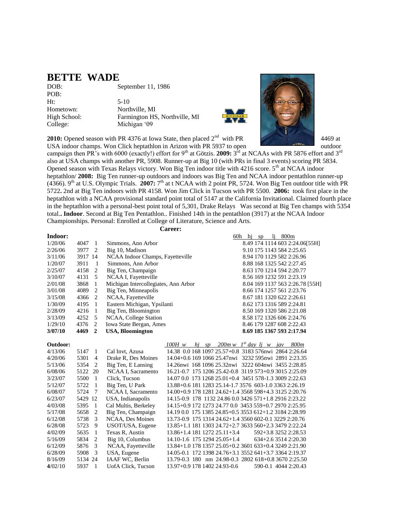#### **BETTE WADE**

DOB: September 11, 1986 POB: Ht: 5-10 Hometown: Northville, MI High School: Farmington HS, Northville, MI

College: Michigan '09



**2010:** Opened season with PR 4376 at Iowa State, then placed 2<sup>nd</sup> with PR 4469 at USA indoor champs. Won Click heptathlon in Arizon with PR 5937 to open outdoor

campaign then PR's with 6000 (exactly!) effort for 9<sup>th</sup> at Götzis. **2009:** 3<sup>rd</sup> at NCAAs with PR 5876 effort and 3<sup>rd</sup> also at USA champs with another PR, 5908. Runner-up at Big 10 (with PRs in final 3 events) scoring PR 5834. Opened season with Texas Relays victory. Won Big Ten indoor title with  $4216$  score.  $5<sup>th</sup>$  at NCAA indoor heptathlon/ **2008:** Big Ten runner-up outdoors and indoors was Big Ten and NCAA indoor pentathlon runner-up  $(4366)$ . 9<sup>th</sup> at U.S. Olympic Trials. 2007:  $7<sup>th</sup>$  at t NCAA with 2 point PR, 5724. Won Big Ten outdoor title with PR 5722**.** 2nd at Big Ten indoors with PR 4158. Won Jim Click in Tucson with PR 5500. **2006:** took first place in the heptathlon with a NCAA provisional standard point total of 5147 at the California Invitational. Claimed fourth place in the heptathlon with a personal-best point total of 5,301, Drake Relays Was second at Big Ten champs with 5354 total.**. Indoor**. Second at Big Ten Pentathlon.. Finished 14th in the pentathlon (3917) at the NCAA Indoor Championships. Personal: Enrolled at College of Literature, Science and Arts.

| <b>Career:</b> |         |                 |                                      |                                                        |                                             |                           |                      |                                 |
|----------------|---------|-----------------|--------------------------------------|--------------------------------------------------------|---------------------------------------------|---------------------------|----------------------|---------------------------------|
| Indoor:        |         |                 |                                      |                                                        |                                             | 60h hi sp                 | $li$ 800 $m$         |                                 |
| 1/20/06        | 4047    | -1              | Simmons, Ann Arbor                   |                                                        |                                             |                           |                      | 8.49 174 1114 603 2:24.06[55H]  |
| 2/26/06        | 3977    | 2               | Big 10, Madison                      |                                                        |                                             | 9.10 175 1143 584 2:25.65 |                      |                                 |
| 3/11/06        | 3917 14 |                 | NCAA Indoor Champs, Fayetteville     |                                                        |                                             | 8.94 170 1129 582 2:26.96 |                      |                                 |
| 1/20/07        | 3911    | -1              | Simmons, Ann Arbor                   |                                                        |                                             | 8.88 168 1325 542 2:27.45 |                      |                                 |
| 2/25/07        | 4158    | 2               | Big Ten, Champaign                   |                                                        |                                             | 8.63 170 1214 594 2:20.77 |                      |                                 |
| 3/10/07        | 4131    | 5               | NCAA I, Fayetteville                 |                                                        |                                             | 8.56 169 1232 591 2:23.19 |                      |                                 |
| 2/01/08        | 3868    | 1               | Michigan Intercollegiates, Ann Arbor |                                                        |                                             |                           |                      | 8.04 169 1137 563 2:26.78 [55H] |
| 3/01/08        | 4089    | $\overline{2}$  | Big Ten, Minneapolis                 |                                                        |                                             | 8.66 174 1257 561 2:23.76 |                      |                                 |
| 3/15/08        | 4366    | 2               | NCAA, Fayetteville                   |                                                        |                                             | 8.67 181 1320 622 2:26.61 |                      |                                 |
| 1/30/09        | 4195    | 1               | Eastern Michigan, Ypsilanti          |                                                        |                                             | 8.62 173 1316 589 2:24.81 |                      |                                 |
| 2/28/09        | 4216    | -1              | Big Ten, Bloomington                 |                                                        |                                             | 8.50 169 1320 586 2:21.08 |                      |                                 |
| 3/13/09        | 4252    | 5               | NCAA, College Station                |                                                        |                                             | 8.58 172 1326 606 2:24.76 |                      |                                 |
| 1/29/10        | 4376    | 2               | Iowa State Bergan, Ames              |                                                        |                                             | 8.46 179 1287 608 2:22.43 |                      |                                 |
| 3/07/10        | 4469    | $\mathbf{2}$    | <b>USA, Bloomington</b>              |                                                        |                                             | 8.69 185 1367 593 2:17.94 |                      |                                 |
|                |         |                 |                                      |                                                        |                                             |                           |                      |                                 |
| Outdoor:       |         |                 |                                      | 100H w                                                 | hj sp $200m w$ I <sup>st</sup> day lj w jav |                           |                      | 800m                            |
| 4/13/06        | 5147    | 1               | Cal Invt, Azusa                      | 14.38 0.0 168 1097 25.57+0.8 3183 576nwi 2864 2:26.64  |                                             |                           |                      |                                 |
| 4/20/06        | 5301    | $\overline{4}$  | Drake R, Des Moines                  | 14.04+0.6 169 1066 25.47nwi 3232 595nwi 2891 2:23.35   |                                             |                           |                      |                                 |
| 5/13/06        | 5354    | 2               | Big Ten, E Lansing                   | 14.26 nwi 168 1096 25.32 nwi 3222 604 nwi 3455 2:28.85 |                                             |                           |                      |                                 |
| 6/08/06        | 5122    | 20              | NCAA I, Sacramento                   | 16.21-0.7 175 1206 25.42-0.8 3119 573+0.9 3015 2:25.09 |                                             |                           |                      |                                 |
| 3/23/07        | 5500    | $\overline{1}$  | Click, Tucson                        | 14.07 0.0 173 1268 25.01+0.4 3451 578-1.3 3009 2:22.63 |                                             |                           |                      |                                 |
| 5/12/07        | 5722    | -1              | Big Ten, U Park                      | 13.88+0.6 181 1283 25.14-1.7 3576 603-1.0 3363 2:26.19 |                                             |                           |                      |                                 |
| 6/08/07        | 5724    | $7\phantom{.0}$ | <b>NCAA I, Sacramento</b>            | 14.00+0.9 178 1281 24.62+1.4 3568 598+4.3 3125 2:20.76 |                                             |                           |                      |                                 |
| 6/23/07        | 5429 12 |                 | USA, Indianapolis                    | 14.15-0.9 178 1132 24.86 0.0 3426 571+1.8 2916 2:23.22 |                                             |                           |                      |                                 |
| 4/03/08        | 5395    | -1              | Cal Multis, Berkeley                 | 14.15+0.9 172 1273 24.77 0.0 3453 559+0.7 2970 2:25.95 |                                             |                           |                      |                                 |
| 5/17/08        | 5658    | 2               | Big Ten, Champaign                   | 14.19 0.0 175 1385 24.85+0.5 3553 612+1.2 3184 2:28.99 |                                             |                           |                      |                                 |
| 6/12/08        | 5738    | 3               | NCAA, Des Moines                     | 13.73-0.9 175 1314 24.62+1.4 3560 602-0.1 3229 2:20.76 |                                             |                           |                      |                                 |
| 6/28/08        | 5723    | 9               | USOT/USA, Eugene                     | 13.85+1.1 181 1303 24.72+2.7 3633 560+2.3 3479 2:22.24 |                                             |                           |                      |                                 |
| 4/02/09        | 5635    | -1              | Texas R, Austin                      | 13.86+1.4 181 1272 25.11+3.4                           |                                             |                           | 592+3.8 3252 2:28.53 |                                 |
| 5/16/09        | 5834    | 2               | Big 10, Columbus                     | 14.10-1.6 175 1294 25.05+1.4                           |                                             |                           | 634+2.6 3514 2:20.30 |                                 |
| 6/12/09        | 5876    | 3               | NCAA, Fayetteville                   | 13.84+1.0 178 1357 25.05+0.2 3601 633+0.4 3249 2:21.90 |                                             |                           |                      |                                 |
| 6/28/09        | 5908    | 3               | USA, Eugene                          | 14.05-0.1 172 1398 24.76+3.1 3552 641+3.7 3364 2:19.37 |                                             |                           |                      |                                 |
| 8/16/09        | 5134 24 |                 | IAAF WC, Berlin                      | 13.79-0.3 180 nm 24.98-0.3 2802 618+0.8 3670 2:25.50   |                                             |                           |                      |                                 |
| 4/02/10        | 5937    | $\mathbf{1}$    | UofA Click, Tucson                   | 13.97+0.9 178 1402 24.93-0.6                           |                                             |                           | 590-0.1 4044 2:20.43 |                                 |